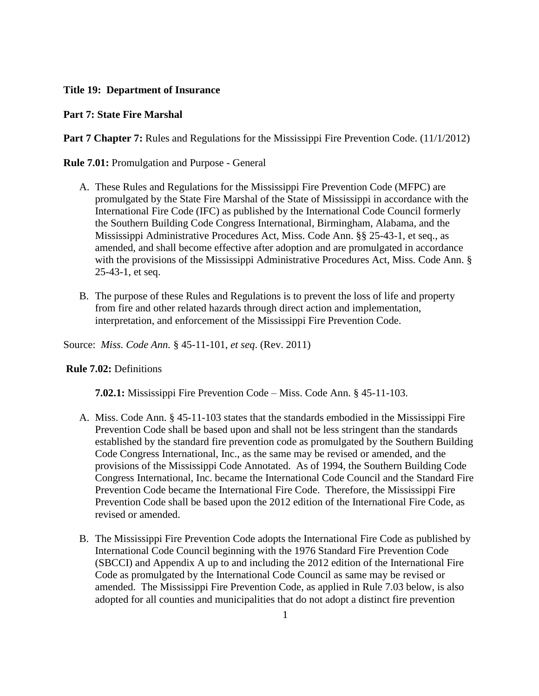## **Title 19: Department of Insurance**

## **Part 7: State Fire Marshal**

**Part 7 Chapter 7:** Rules and Regulations for the Mississippi Fire Prevention Code. (11/1/2012)

**Rule 7.01:** Promulgation and Purpose - General

- A. These Rules and Regulations for the Mississippi Fire Prevention Code (MFPC) are promulgated by the State Fire Marshal of the State of Mississippi in accordance with the International Fire Code (IFC) as published by the International Code Council formerly the Southern Building Code Congress International, Birmingham, Alabama, and the Mississippi Administrative Procedures Act, Miss. Code Ann. §§ 25-43-1, et seq., as amended, and shall become effective after adoption and are promulgated in accordance with the provisions of the Mississippi Administrative Procedures Act, Miss. Code Ann. § 25-43-1, et seq.
- B. The purpose of these Rules and Regulations is to prevent the loss of life and property from fire and other related hazards through direct action and implementation, interpretation, and enforcement of the Mississippi Fire Prevention Code.

Source: *Miss. Code Ann.* § 45-11-101, *et seq*. (Rev. 2011)

## **Rule 7.02:** Definitions

**7.02.1:** Mississippi Fire Prevention Code – Miss. Code Ann. § 45-11-103.

- A. Miss. Code Ann. § 45-11-103 states that the standards embodied in the Mississippi Fire Prevention Code shall be based upon and shall not be less stringent than the standards established by the standard fire prevention code as promulgated by the Southern Building Code Congress International, Inc., as the same may be revised or amended, and the provisions of the Mississippi Code Annotated. As of 1994, the Southern Building Code Congress International, Inc. became the International Code Council and the Standard Fire Prevention Code became the International Fire Code. Therefore, the Mississippi Fire Prevention Code shall be based upon the 2012 edition of the International Fire Code, as revised or amended.
- B. The Mississippi Fire Prevention Code adopts the International Fire Code as published by International Code Council beginning with the 1976 Standard Fire Prevention Code (SBCCI) and Appendix A up to and including the 2012 edition of the International Fire Code as promulgated by the International Code Council as same may be revised or amended. The Mississippi Fire Prevention Code, as applied in Rule 7.03 below, is also adopted for all counties and municipalities that do not adopt a distinct fire prevention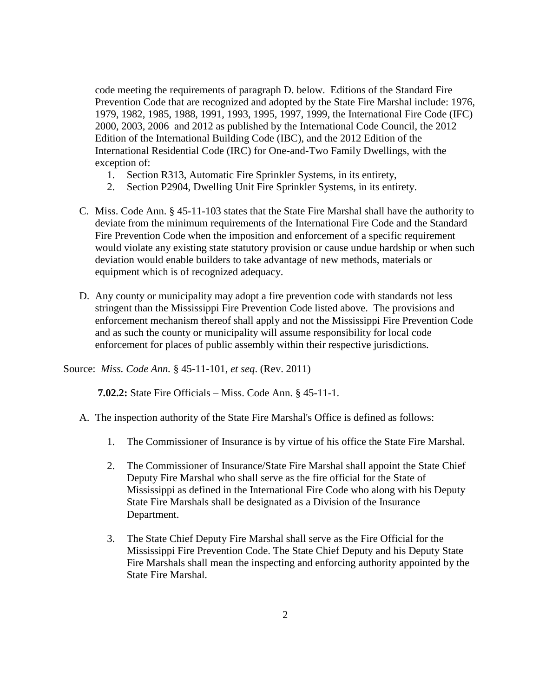code meeting the requirements of paragraph D. below. Editions of the Standard Fire Prevention Code that are recognized and adopted by the State Fire Marshal include: 1976, 1979, 1982, 1985, 1988, 1991, 1993, 1995, 1997, 1999, the International Fire Code (IFC) 2000, 2003, 2006 and 2012 as published by the International Code Council, the 2012 Edition of the International Building Code (IBC), and the 2012 Edition of the International Residential Code (IRC) for One-and-Two Family Dwellings, with the exception of:

- 1. Section R313, Automatic Fire Sprinkler Systems, in its entirety,
- 2. Section P2904, Dwelling Unit Fire Sprinkler Systems, in its entirety.
- C. Miss. Code Ann. § 45-11-103 states that the State Fire Marshal shall have the authority to deviate from the minimum requirements of the International Fire Code and the Standard Fire Prevention Code when the imposition and enforcement of a specific requirement would violate any existing state statutory provision or cause undue hardship or when such deviation would enable builders to take advantage of new methods, materials or equipment which is of recognized adequacy.
- D. Any county or municipality may adopt a fire prevention code with standards not less stringent than the Mississippi Fire Prevention Code listed above. The provisions and enforcement mechanism thereof shall apply and not the Mississippi Fire Prevention Code and as such the county or municipality will assume responsibility for local code enforcement for places of public assembly within their respective jurisdictions.

Source: *Miss. Code Ann.* § 45-11-101, *et seq*. (Rev. 2011)

**7.02.2:** State Fire Officials – Miss. Code Ann. § 45-11-1.

- A. The inspection authority of the State Fire Marshal's Office is defined as follows:
	- 1. The Commissioner of Insurance is by virtue of his office the State Fire Marshal.
	- 2. The Commissioner of Insurance/State Fire Marshal shall appoint the State Chief Deputy Fire Marshal who shall serve as the fire official for the State of Mississippi as defined in the International Fire Code who along with his Deputy State Fire Marshals shall be designated as a Division of the Insurance Department.
	- 3. The State Chief Deputy Fire Marshal shall serve as the Fire Official for the Mississippi Fire Prevention Code. The State Chief Deputy and his Deputy State Fire Marshals shall mean the inspecting and enforcing authority appointed by the State Fire Marshal.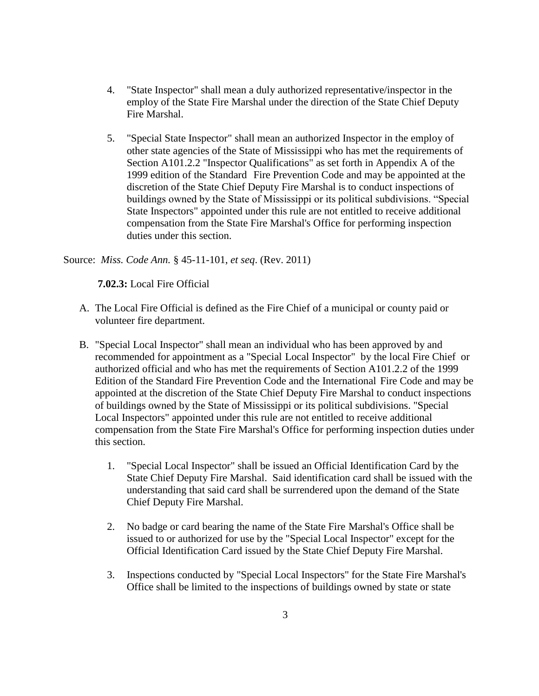- 4. "State Inspector" shall mean a duly authorized representative/inspector in the employ of the State Fire Marshal under the direction of the State Chief Deputy Fire Marshal.
- 5. "Special State Inspector" shall mean an authorized Inspector in the employ of other state agencies of the State of Mississippi who has met the requirements of Section A101.2.2 "Inspector Qualifications" as set forth in Appendix A of the 1999 edition of the Standard Fire Prevention Code and may be appointed at the discretion of the State Chief Deputy Fire Marshal is to conduct inspections of buildings owned by the State of Mississippi or its political subdivisions. "Special State Inspectors" appointed under this rule are not entitled to receive additional compensation from the State Fire Marshal's Office for performing inspection duties under this section.

Source: *Miss. Code Ann.* § 45-11-101, *et seq*. (Rev. 2011)

**7.02.3:** Local Fire Official

- A. The Local Fire Official is defined as the Fire Chief of a municipal or county paid or volunteer fire department.
- B. "Special Local Inspector" shall mean an individual who has been approved by and recommended for appointment as a "Special Local Inspector" by the local Fire Chief or authorized official and who has met the requirements of Section A101.2.2 of the 1999 Edition of the Standard Fire Prevention Code and the International Fire Code and may be appointed at the discretion of the State Chief Deputy Fire Marshal to conduct inspections of buildings owned by the State of Mississippi or its political subdivisions. "Special Local Inspectors" appointed under this rule are not entitled to receive additional compensation from the State Fire Marshal's Office for performing inspection duties under this section.
	- 1. "Special Local Inspector" shall be issued an Official Identification Card by the State Chief Deputy Fire Marshal. Said identification card shall be issued with the understanding that said card shall be surrendered upon the demand of the State Chief Deputy Fire Marshal.
	- 2. No badge or card bearing the name of the State Fire Marshal's Office shall be issued to or authorized for use by the "Special Local Inspector" except for the Official Identification Card issued by the State Chief Deputy Fire Marshal.
	- 3. Inspections conducted by "Special Local Inspectors" for the State Fire Marshal's Office shall be limited to the inspections of buildings owned by state or state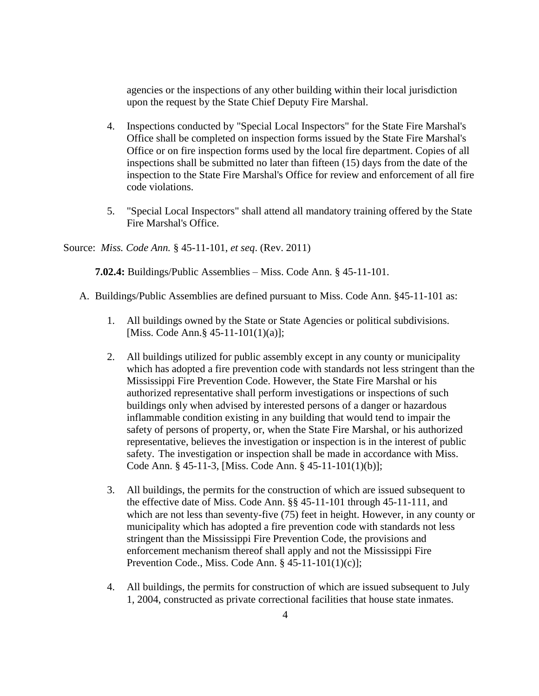agencies or the inspections of any other building within their local jurisdiction upon the request by the State Chief Deputy Fire Marshal.

- 4. Inspections conducted by "Special Local Inspectors" for the State Fire Marshal's Office shall be completed on inspection forms issued by the State Fire Marshal's Office or on fire inspection forms used by the local fire department. Copies of all inspections shall be submitted no later than fifteen (15) days from the date of the inspection to the State Fire Marshal's Office for review and enforcement of all fire code violations.
- 5. "Special Local Inspectors" shall attend all mandatory training offered by the State Fire Marshal's Office.

Source: *Miss. Code Ann.* § 45-11-101, *et seq*. (Rev. 2011)

**7.02.4:** Buildings/Public Assemblies – Miss. Code Ann. § 45-11-101.

- A. Buildings/Public Assemblies are defined pursuant to Miss. Code Ann. §45-11-101 as:
	- 1. All buildings owned by the State or State Agencies or political subdivisions. [Miss. Code Ann.§ 45-11-101(1)(a)];
	- 2. All buildings utilized for public assembly except in any county or municipality which has adopted a fire prevention code with standards not less stringent than the Mississippi Fire Prevention Code. However, the State Fire Marshal or his authorized representative shall perform investigations or inspections of such buildings only when advised by interested persons of a danger or hazardous inflammable condition existing in any building that would tend to impair the safety of persons of property, or, when the State Fire Marshal, or his authorized representative, believes the investigation or inspection is in the interest of public safety. The investigation or inspection shall be made in accordance with Miss. Code Ann. § 45-11-3, [Miss. Code Ann. § 45-11-101(1)(b)];
	- 3. All buildings, the permits for the construction of which are issued subsequent to the effective date of Miss. Code Ann. §§ 45-11-101 through 45-11-111, and which are not less than seventy-five (75) feet in height. However, in any county or municipality which has adopted a fire prevention code with standards not less stringent than the Mississippi Fire Prevention Code, the provisions and enforcement mechanism thereof shall apply and not the Mississippi Fire Prevention Code., Miss. Code Ann. § 45-11-101(1)(c)];
	- 4. All buildings, the permits for construction of which are issued subsequent to July 1, 2004, constructed as private correctional facilities that house state inmates.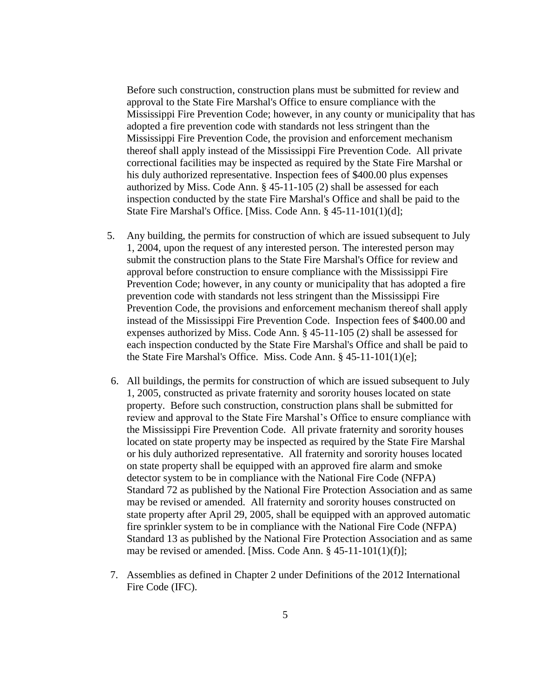Before such construction, construction plans must be submitted for review and approval to the State Fire Marshal's Office to ensure compliance with the Mississippi Fire Prevention Code; however, in any county or municipality that has adopted a fire prevention code with standards not less stringent than the Mississippi Fire Prevention Code, the provision and enforcement mechanism thereof shall apply instead of the Mississippi Fire Prevention Code. All private correctional facilities may be inspected as required by the State Fire Marshal or his duly authorized representative. Inspection fees of \$400.00 plus expenses authorized by Miss. Code Ann. § 45-11-105 (2) shall be assessed for each inspection conducted by the state Fire Marshal's Office and shall be paid to the State Fire Marshal's Office. [Miss. Code Ann. § 45-11-101(1)(d];

- 5. Any building, the permits for construction of which are issued subsequent to July 1, 2004, upon the request of any interested person. The interested person may submit the construction plans to the State Fire Marshal's Office for review and approval before construction to ensure compliance with the Mississippi Fire Prevention Code; however, in any county or municipality that has adopted a fire prevention code with standards not less stringent than the Mississippi Fire Prevention Code, the provisions and enforcement mechanism thereof shall apply instead of the Mississippi Fire Prevention Code. Inspection fees of \$400.00 and expenses authorized by Miss. Code Ann. § 45-11-105 (2) shall be assessed for each inspection conducted by the State Fire Marshal's Office and shall be paid to the State Fire Marshal's Office. Miss. Code Ann. § 45-11-101(1)(e];
- 6. All buildings, the permits for construction of which are issued subsequent to July 1, 2005, constructed as private fraternity and sorority houses located on state property. Before such construction, construction plans shall be submitted for review and approval to the State Fire Marshal's Office to ensure compliance with the Mississippi Fire Prevention Code. All private fraternity and sorority houses located on state property may be inspected as required by the State Fire Marshal or his duly authorized representative. All fraternity and sorority houses located on state property shall be equipped with an approved fire alarm and smoke detector system to be in compliance with the National Fire Code (NFPA) Standard 72 as published by the National Fire Protection Association and as same may be revised or amended. All fraternity and sorority houses constructed on state property after April 29, 2005, shall be equipped with an approved automatic fire sprinkler system to be in compliance with the National Fire Code (NFPA) Standard 13 as published by the National Fire Protection Association and as same may be revised or amended. [Miss. Code Ann. § 45-11-101(1)(f)];
- 7. Assemblies as defined in Chapter 2 under Definitions of the 2012 International Fire Code (IFC).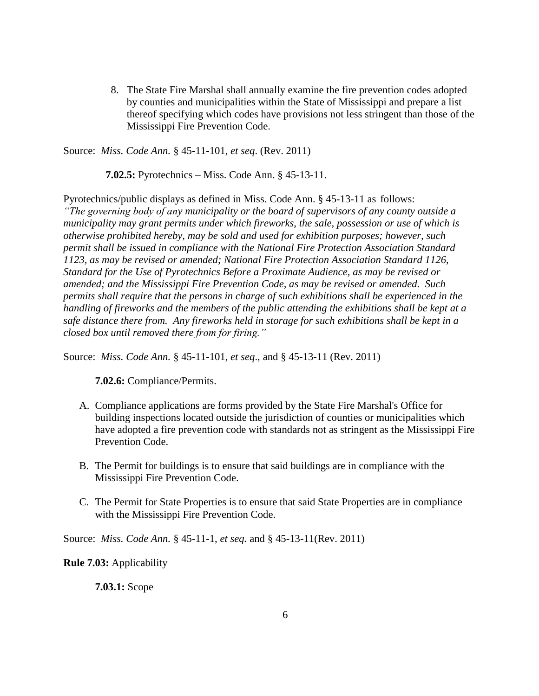8. The State Fire Marshal shall annually examine the fire prevention codes adopted by counties and municipalities within the State of Mississippi and prepare a list thereof specifying which codes have provisions not less stringent than those of the Mississippi Fire Prevention Code.

Source: *Miss. Code Ann.* § 45-11-101, *et seq*. (Rev. 2011)

 **7.02.5:** Pyrotechnics – Miss. Code Ann. § 45-13-11.

Pyrotechnics/public displays as defined in Miss. Code Ann. § 45-13-11 as follows: *"The governing body of any municipality or the board of supervisors of any county outside a municipality may grant permits under which fireworks, the sale, possession or use of which is otherwise prohibited hereby, may be sold and used for exhibition purposes; however, such permit shall be issued in compliance with the National Fire Protection Association Standard 1123, as may be revised or amended; National Fire Protection Association Standard 1126, Standard for the Use of Pyrotechnics Before a Proximate Audience, as may be revised or amended; and the Mississippi Fire Prevention Code, as may be revised or amended. Such permits shall require that the persons in charge of such exhibitions shall be experienced in the handling of fireworks and the members of the public attending the exhibitions shall be kept at a safe distance there from. Any fireworks held in storage for such exhibitions shall be kept in a closed box until removed there from for firing."*

Source: *Miss. Code Ann.* § 45-11-101, *et seq*., and § 45-13-11 (Rev. 2011)

**7.02.6:** Compliance/Permits.

- A. Compliance applications are forms provided by the State Fire Marshal's Office for building inspections located outside the jurisdiction of counties or municipalities which have adopted a fire prevention code with standards not as stringent as the Mississippi Fire Prevention Code.
- B. The Permit for buildings is to ensure that said buildings are in compliance with the Mississippi Fire Prevention Code.
- C. The Permit for State Properties is to ensure that said State Properties are in compliance with the Mississippi Fire Prevention Code.

Source: *Miss. Code Ann.* § 45-11-1, *et seq.* and § 45-13-11(Rev. 2011)

**Rule 7.03:** Applicability

**7.03.1:** Scope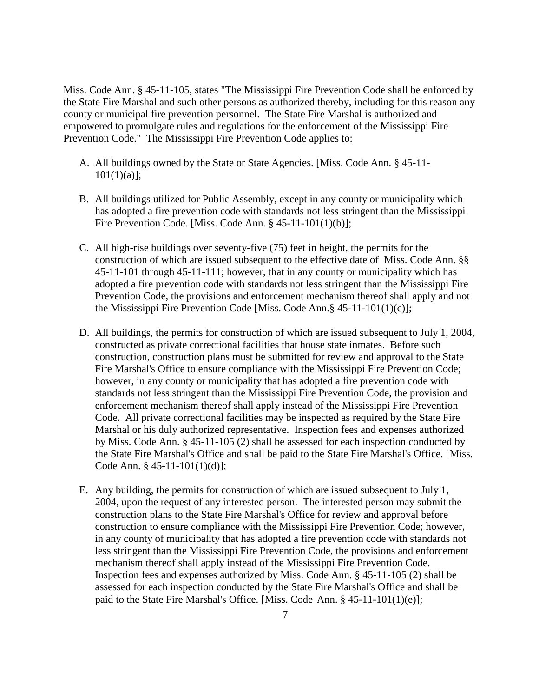Miss. Code Ann. § 45-11-105, states "The Mississippi Fire Prevention Code shall be enforced by the State Fire Marshal and such other persons as authorized thereby, including for this reason any county or municipal fire prevention personnel. The State Fire Marshal is authorized and empowered to promulgate rules and regulations for the enforcement of the Mississippi Fire Prevention Code." The Mississippi Fire Prevention Code applies to:

- A. All buildings owned by the State or State Agencies. [Miss. Code Ann. § 45-11-  $101(1)(a)$ ;
- B. All buildings utilized for Public Assembly, except in any county or municipality which has adopted a fire prevention code with standards not less stringent than the Mississippi Fire Prevention Code. [Miss. Code Ann. § 45-11-101(1)(b)];
- C. All high-rise buildings over seventy-five (75) feet in height, the permits for the construction of which are issued subsequent to the effective date of Miss. Code Ann. §§ 45-11-101 through 45-11-111; however, that in any county or municipality which has adopted a fire prevention code with standards not less stringent than the Mississippi Fire Prevention Code, the provisions and enforcement mechanism thereof shall apply and not the Mississippi Fire Prevention Code [Miss. Code Ann.§ 45-11-101(1)(c)];
- D. All buildings, the permits for construction of which are issued subsequent to July 1, 2004, constructed as private correctional facilities that house state inmates. Before such construction, construction plans must be submitted for review and approval to the State Fire Marshal's Office to ensure compliance with the Mississippi Fire Prevention Code; however, in any county or municipality that has adopted a fire prevention code with standards not less stringent than the Mississippi Fire Prevention Code, the provision and enforcement mechanism thereof shall apply instead of the Mississippi Fire Prevention Code. All private correctional facilities may be inspected as required by the State Fire Marshal or his duly authorized representative. Inspection fees and expenses authorized by Miss. Code Ann. § 45-11-105 (2) shall be assessed for each inspection conducted by the State Fire Marshal's Office and shall be paid to the State Fire Marshal's Office. [Miss. Code Ann. § 45-11-101(1)(d)];
- E. Any building, the permits for construction of which are issued subsequent to July 1, 2004, upon the request of any interested person. The interested person may submit the construction plans to the State Fire Marshal's Office for review and approval before construction to ensure compliance with the Mississippi Fire Prevention Code; however, in any county of municipality that has adopted a fire prevention code with standards not less stringent than the Mississippi Fire Prevention Code, the provisions and enforcement mechanism thereof shall apply instead of the Mississippi Fire Prevention Code. Inspection fees and expenses authorized by Miss. Code Ann. § 45-11-105 (2) shall be assessed for each inspection conducted by the State Fire Marshal's Office and shall be paid to the State Fire Marshal's Office. [Miss. Code Ann. § 45-11-101(1)(e)];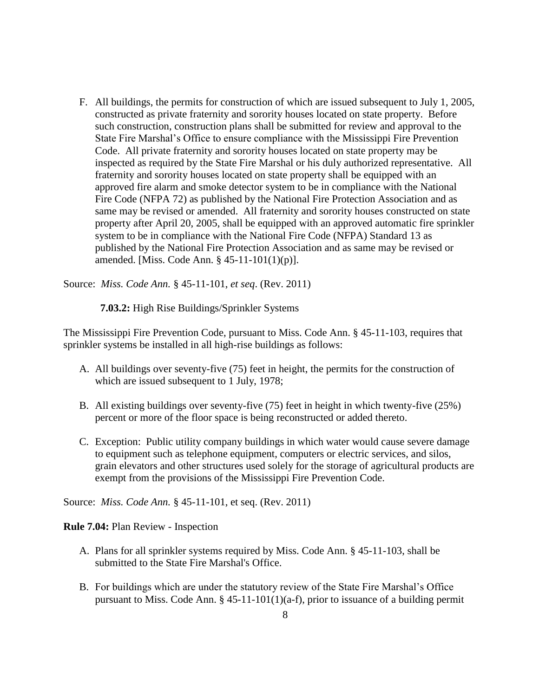F. All buildings, the permits for construction of which are issued subsequent to July 1, 2005, constructed as private fraternity and sorority houses located on state property. Before such construction, construction plans shall be submitted for review and approval to the State Fire Marshal's Office to ensure compliance with the Mississippi Fire Prevention Code. All private fraternity and sorority houses located on state property may be inspected as required by the State Fire Marshal or his duly authorized representative. All fraternity and sorority houses located on state property shall be equipped with an approved fire alarm and smoke detector system to be in compliance with the National Fire Code (NFPA 72) as published by the National Fire Protection Association and as same may be revised or amended. All fraternity and sorority houses constructed on state property after April 20, 2005, shall be equipped with an approved automatic fire sprinkler system to be in compliance with the National Fire Code (NFPA) Standard 13 as published by the National Fire Protection Association and as same may be revised or amended. [Miss. Code Ann. § 45-11-101(1)(p)].

Source: *Miss. Code Ann.* § 45-11-101, *et seq*. (Rev. 2011)

 **7.03.2:** High Rise Buildings/Sprinkler Systems

The Mississippi Fire Prevention Code, pursuant to Miss. Code Ann. § 45-11-103, requires that sprinkler systems be installed in all high-rise buildings as follows:

- A. All buildings over seventy-five (75) feet in height, the permits for the construction of which are issued subsequent to 1 July, 1978;
- B. All existing buildings over seventy-five (75) feet in height in which twenty-five (25%) percent or more of the floor space is being reconstructed or added thereto.
- C. Exception: Public utility company buildings in which water would cause severe damage to equipment such as telephone equipment, computers or electric services, and silos, grain elevators and other structures used solely for the storage of agricultural products are exempt from the provisions of the Mississippi Fire Prevention Code.

Source: *Miss. Code Ann.* § 45-11-101, et seq. (Rev. 2011)

**Rule 7.04:** Plan Review - Inspection

- A. Plans for all sprinkler systems required by Miss. Code Ann. § 45-11-103, shall be submitted to the State Fire Marshal's Office.
- B. For buildings which are under the statutory review of the State Fire Marshal's Office pursuant to Miss. Code Ann.  $\S$  45-11-101(1)(a-f), prior to issuance of a building permit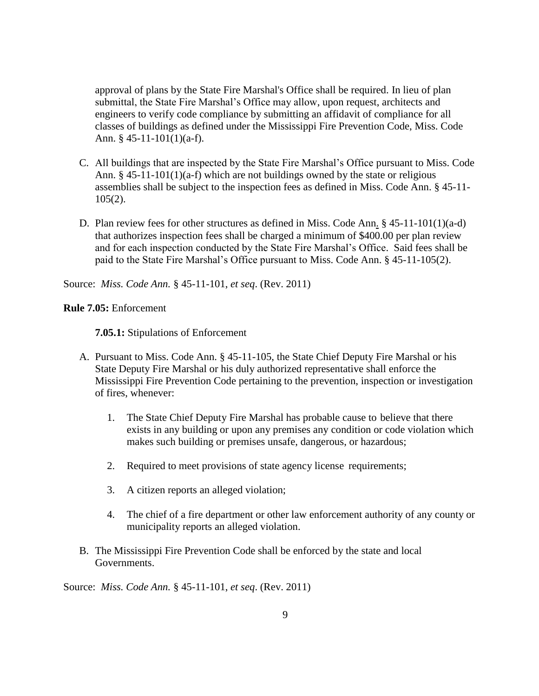approval of plans by the State Fire Marshal's Office shall be required. In lieu of plan submittal, the State Fire Marshal's Office may allow, upon request, architects and engineers to verify code compliance by submitting an affidavit of compliance for all classes of buildings as defined under the Mississippi Fire Prevention Code, Miss. Code Ann. § 45-11-101(1)(a-f).

- C. All buildings that are inspected by the State Fire Marshal's Office pursuant to Miss. Code Ann.  $§$  45-11-101(1)(a-f) which are not buildings owned by the state or religious assemblies shall be subject to the inspection fees as defined in Miss. Code Ann. § 45-11-  $105(2)$ .
- D. Plan review fees for other structures as defined in Miss. Code Ann. § 45-11-101(1)(a-d) that authorizes inspection fees shall be charged a minimum of \$400.00 per plan review and for each inspection conducted by the State Fire Marshal's Office. Said fees shall be paid to the State Fire Marshal's Office pursuant to Miss. Code Ann. § 45-11-105(2).

Source: *Miss. Code Ann.* § 45-11-101, *et seq*. (Rev. 2011)

## **Rule 7.05:** Enforcement

**7.05.1:** Stipulations of Enforcement

- A. Pursuant to Miss. Code Ann. § 45-11-105, the State Chief Deputy Fire Marshal or his State Deputy Fire Marshal or his duly authorized representative shall enforce the Mississippi Fire Prevention Code pertaining to the prevention, inspection or investigation of fires, whenever:
	- 1. The State Chief Deputy Fire Marshal has probable cause to believe that there exists in any building or upon any premises any condition or code violation which makes such building or premises unsafe, dangerous, or hazardous;
	- 2. Required to meet provisions of state agency license requirements;
	- 3. A citizen reports an alleged violation;
	- 4. The chief of a fire department or other law enforcement authority of any county or municipality reports an alleged violation.
- B. The Mississippi Fire Prevention Code shall be enforced by the state and local Governments.

Source: *Miss. Code Ann.* § 45-11-101, *et seq*. (Rev. 2011)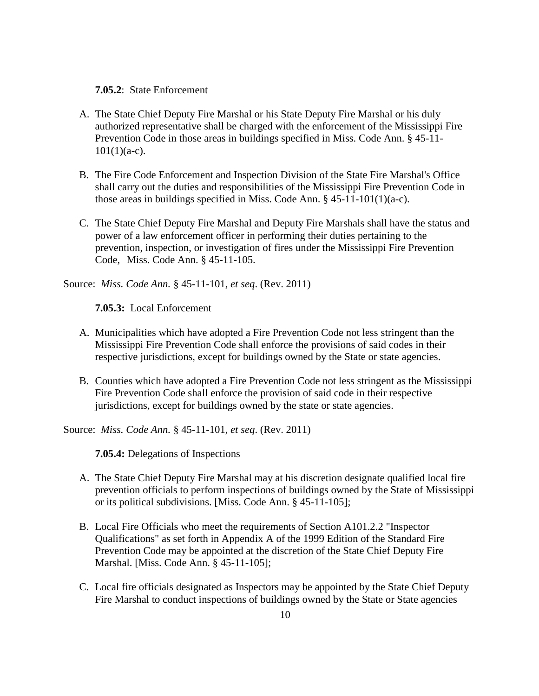**7.05.2**: State Enforcement

- A. The State Chief Deputy Fire Marshal or his State Deputy Fire Marshal or his duly authorized representative shall be charged with the enforcement of the Mississippi Fire Prevention Code in those areas in buildings specified in Miss. Code Ann. § 45-11-  $101(1)(a-c)$ .
- B. The Fire Code Enforcement and Inspection Division of the State Fire Marshal's Office shall carry out the duties and responsibilities of the Mississippi Fire Prevention Code in those areas in buildings specified in Miss. Code Ann.  $§$  45-11-101(1)(a-c).
- C. The State Chief Deputy Fire Marshal and Deputy Fire Marshals shall have the status and power of a law enforcement officer in performing their duties pertaining to the prevention, inspection, or investigation of fires under the Mississippi Fire Prevention Code, Miss. Code Ann. § 45-11-105.

Source: *Miss. Code Ann.* § 45-11-101, *et seq*. (Rev. 2011)

**7.05.3:** Local Enforcement

- A. Municipalities which have adopted a Fire Prevention Code not less stringent than the Mississippi Fire Prevention Code shall enforce the provisions of said codes in their respective jurisdictions, except for buildings owned by the State or state agencies.
- B. Counties which have adopted a Fire Prevention Code not less stringent as the Mississippi Fire Prevention Code shall enforce the provision of said code in their respective jurisdictions, except for buildings owned by the state or state agencies.

Source: *Miss. Code Ann.* § 45-11-101, *et seq*. (Rev. 2011)

**7.05.4:** Delegations of Inspections

- A. The State Chief Deputy Fire Marshal may at his discretion designate qualified local fire prevention officials to perform inspections of buildings owned by the State of Mississippi or its political subdivisions. [Miss. Code Ann. § 45-11-105];
- B. Local Fire Officials who meet the requirements of Section A101.2.2 "Inspector Qualifications" as set forth in Appendix A of the 1999 Edition of the Standard Fire Prevention Code may be appointed at the discretion of the State Chief Deputy Fire Marshal. [Miss. Code Ann. § 45-11-105];
- C. Local fire officials designated as Inspectors may be appointed by the State Chief Deputy Fire Marshal to conduct inspections of buildings owned by the State or State agencies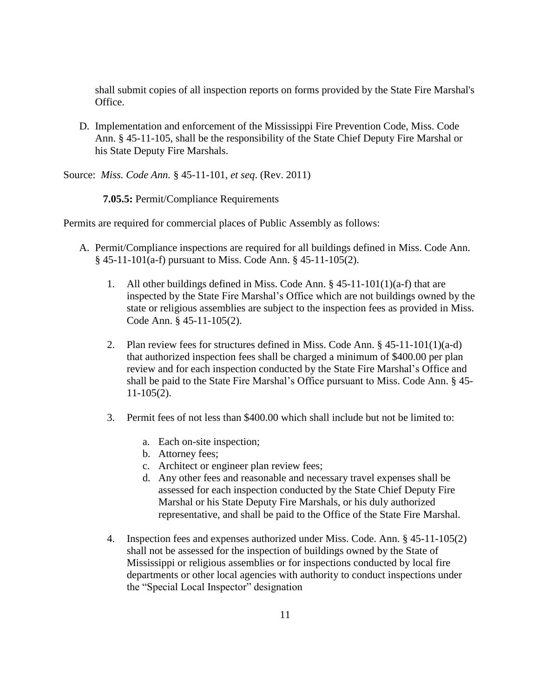shall submit copies of all inspection reports on forms provided by the State Fire Marshal's Office.

D. Implementation and enforcement of the Mississippi Fire Prevention Code, Miss. Code Ann. § 45-11-105, shall be the responsibility of the State Chief Deputy Fire Marshal or his State Deputy Fire Marshals.

Source: *Miss. Code Ann.* § 45-11-101, *et seq*. (Rev. 2011)

 **7.05.5:** Permit/Compliance Requirements

Permits are required for commercial places of Public Assembly as follows:

- A. Permit/Compliance inspections are required for all buildings defined in Miss. Code Ann. § 45-11-101(a-f) pursuant to Miss. Code Ann. § 45-11-105(2).
	- 1. All other buildings defined in Miss. Code Ann. § 45-11-101(1)(a-f) that are inspected by the State Fire Marshal's Office which are not buildings owned by the state or religious assemblies are subject to the inspection fees as provided in Miss. Code Ann. § 45-11-105(2).
	- 2. Plan review fees for structures defined in Miss. Code Ann. § 45-11-101(1)(a-d) that authorized inspection fees shall be charged a minimum of \$400.00 per plan review and for each inspection conducted by the State Fire Marshal's Office and shall be paid to the State Fire Marshal's Office pursuant to Miss. Code Ann. § 45- 11-105(2).
	- 3. Permit fees of not less than \$400.00 which shall include but not be limited to:
		- a. Each on-site inspection;
		- b. Attorney fees;
		- c. Architect or engineer plan review fees;
		- d. Any other fees and reasonable and necessary travel expenses shall be assessed for each inspection conducted by the State Chief Deputy Fire Marshal or his State Deputy Fire Marshals, or his duly authorized representative, and shall be paid to the Office of the State Fire Marshal.
	- 4. Inspection fees and expenses authorized under Miss. Code. Ann. § 45-11-105(2) shall not be assessed for the inspection of buildings owned by the State of Mississippi or religious assemblies or for inspections conducted by local fire departments or other local agencies with authority to conduct inspections under the "Special Local Inspector" designation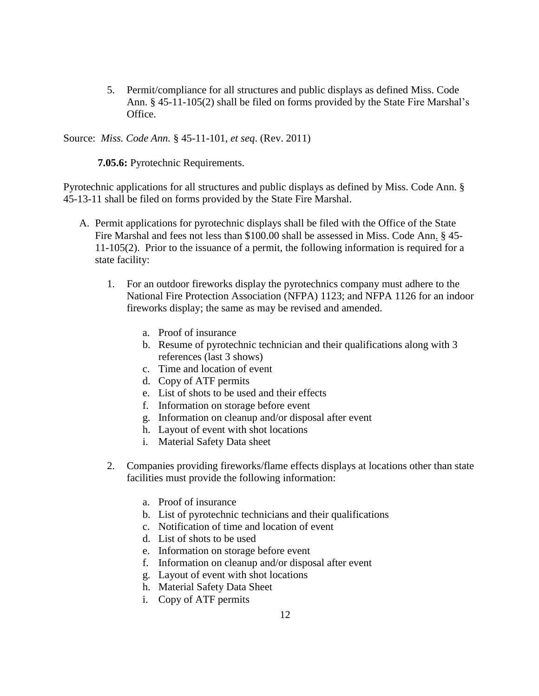5. Permit/compliance for all structures and public displays as defined Miss. Code Ann. § 45-11-105(2) shall be filed on forms provided by the State Fire Marshal's Office.

Source: *Miss. Code Ann.* § 45-11-101, *et seq*. (Rev. 2011)

**7.05.6:** Pyrotechnic Requirements.

Pyrotechnic applications for all structures and public displays as defined by Miss. Code Ann. § 45-13-11 shall be filed on forms provided by the State Fire Marshal.

- A. Permit applications for pyrotechnic displays shall be filed with the Office of the State Fire Marshal and fees not less than \$100.00 shall be assessed in Miss. Code Ann. § 45- 11-105(2). Prior to the issuance of a permit, the following information is required for a state facility:
	- 1. For an outdoor fireworks display the pyrotechnics company must adhere to the National Fire Protection Association (NFPA) 1123; and NFPA 1126 for an indoor fireworks display; the same as may be revised and amended.
		- a. Proof of insurance
		- b. Resume of pyrotechnic technician and their qualifications along with 3 references (last 3 shows)
		- c. Time and location of event
		- d. Copy of ATF permits
		- e. List of shots to be used and their effects
		- f. Information on storage before event
		- g. Information on cleanup and/or disposal after event
		- h. Layout of event with shot locations
		- i. Material Safety Data sheet
	- 2. Companies providing fireworks/flame effects displays at locations other than state facilities must provide the following information:
		- a. Proof of insurance
		- b. List of pyrotechnic technicians and their qualifications
		- c. Notification of time and location of event
		- d. List of shots to be used
		- e. Information on storage before event
		- f. Information on cleanup and/or disposal after event
		- g. Layout of event with shot locations
		- h. Material Safety Data Sheet
		- i. Copy of ATF permits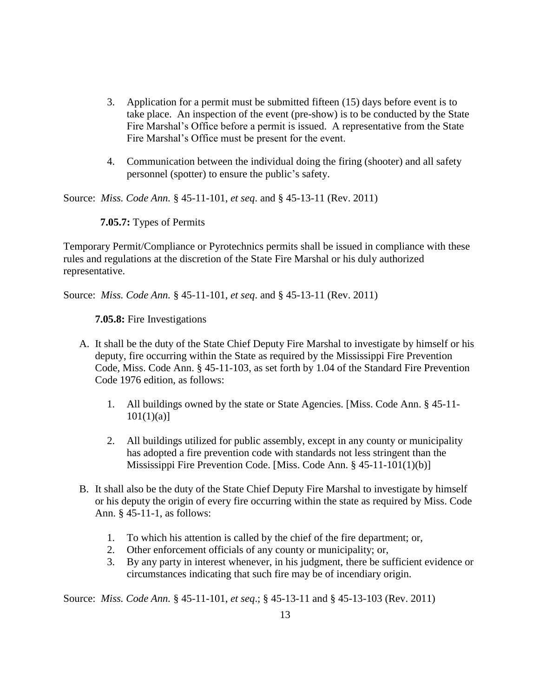- 3. Application for a permit must be submitted fifteen (15) days before event is to take place. An inspection of the event (pre-show) is to be conducted by the State Fire Marshal's Office before a permit is issued. A representative from the State Fire Marshal's Office must be present for the event.
- 4. Communication between the individual doing the firing (shooter) and all safety personnel (spotter) to ensure the public's safety.

Source: *Miss. Code Ann.* § 45-11-101, *et seq*. and § 45-13-11 (Rev. 2011)

 **7.05.7:** Types of Permits

Temporary Permit/Compliance or Pyrotechnics permits shall be issued in compliance with these rules and regulations at the discretion of the State Fire Marshal or his duly authorized representative.

Source: *Miss. Code Ann.* § 45-11-101, *et seq*. and § 45-13-11 (Rev. 2011)

**7.05.8:** Fire Investigations

- A. It shall be the duty of the State Chief Deputy Fire Marshal to investigate by himself or his deputy, fire occurring within the State as required by the Mississippi Fire Prevention Code, Miss. Code Ann. § 45-11-103, as set forth by 1.04 of the Standard Fire Prevention Code 1976 edition, as follows:
	- 1. All buildings owned by the state or State Agencies. [Miss. Code Ann. § 45-11-  $101(1)(a)$ ]
	- 2. All buildings utilized for public assembly, except in any county or municipality has adopted a fire prevention code with standards not less stringent than the Mississippi Fire Prevention Code. [Miss. Code Ann. § 45-11-101(1)(b)]
- B. It shall also be the duty of the State Chief Deputy Fire Marshal to investigate by himself or his deputy the origin of every fire occurring within the state as required by Miss. Code Ann. § 45-11-1, as follows:
	- 1. To which his attention is called by the chief of the fire department; or,
	- 2. Other enforcement officials of any county or municipality; or,
	- 3. By any party in interest whenever, in his judgment, there be sufficient evidence or circumstances indicating that such fire may be of incendiary origin.

Source: *Miss. Code Ann.* § 45-11-101, *et seq*.; § 45-13-11 and § 45-13-103 (Rev. 2011)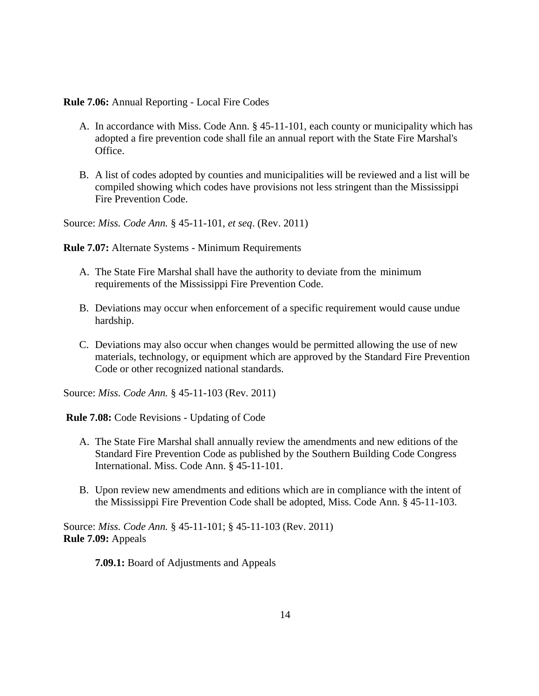**Rule 7.06:** Annual Reporting - Local Fire Codes

- A. In accordance with Miss. Code Ann. § 45-11-101, each county or municipality which has adopted a fire prevention code shall file an annual report with the State Fire Marshal's Office.
- B. A list of codes adopted by counties and municipalities will be reviewed and a list will be compiled showing which codes have provisions not less stringent than the Mississippi Fire Prevention Code.

Source: *Miss. Code Ann.* § 45-11-101, *et seq*. (Rev. 2011)

**Rule 7.07:** Alternate Systems - Minimum Requirements

- A. The State Fire Marshal shall have the authority to deviate from the minimum requirements of the Mississippi Fire Prevention Code.
- B. Deviations may occur when enforcement of a specific requirement would cause undue hardship.
- C. Deviations may also occur when changes would be permitted allowing the use of new materials, technology, or equipment which are approved by the Standard Fire Prevention Code or other recognized national standards.

Source: *Miss. Code Ann.* § 45-11-103 (Rev. 2011)

**Rule 7.08:** Code Revisions - Updating of Code

- A. The State Fire Marshal shall annually review the amendments and new editions of the Standard Fire Prevention Code as published by the Southern Building Code Congress International. Miss. Code Ann. § 45-11-101.
- B. Upon review new amendments and editions which are in compliance with the intent of the Mississippi Fire Prevention Code shall be adopted, Miss. Code Ann. § 45-11-103.

Source: *Miss. Code Ann.* § 45-11-101; § 45-11-103 (Rev. 2011) **Rule 7.09:** Appeals

**7.09.1:** Board of Adjustments and Appeals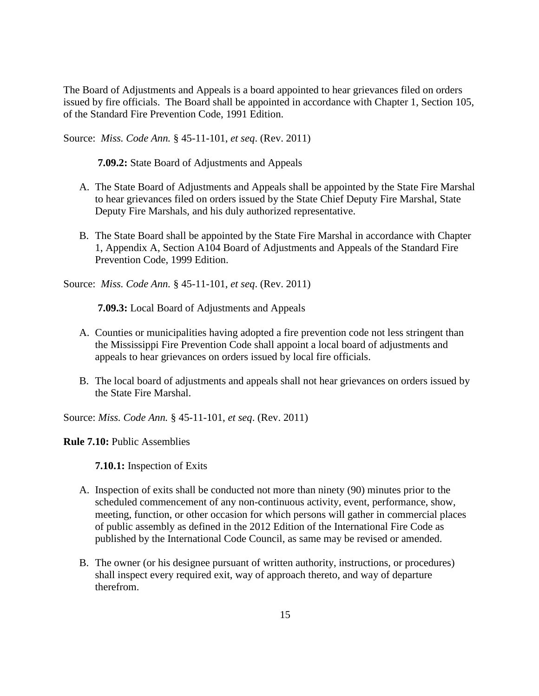The Board of Adjustments and Appeals is a board appointed to hear grievances filed on orders issued by fire officials. The Board shall be appointed in accordance with Chapter 1, Section 105, of the Standard Fire Prevention Code, 1991 Edition.

Source: *Miss. Code Ann.* § 45-11-101, *et seq*. (Rev. 2011)

**7.09.2:** State Board of Adjustments and Appeals

- A. The State Board of Adjustments and Appeals shall be appointed by the State Fire Marshal to hear grievances filed on orders issued by the State Chief Deputy Fire Marshal, State Deputy Fire Marshals, and his duly authorized representative.
- B. The State Board shall be appointed by the State Fire Marshal in accordance with Chapter 1, Appendix A, Section A104 Board of Adjustments and Appeals of the Standard Fire Prevention Code, 1999 Edition.

Source: *Miss. Code Ann.* § 45-11-101, *et seq*. (Rev. 2011)

**7.09.3:** Local Board of Adjustments and Appeals

- A. Counties or municipalities having adopted a fire prevention code not less stringent than the Mississippi Fire Prevention Code shall appoint a local board of adjustments and appeals to hear grievances on orders issued by local fire officials.
- B. The local board of adjustments and appeals shall not hear grievances on orders issued by the State Fire Marshal.

Source: *Miss. Code Ann.* § 45-11-101, *et seq*. (Rev. 2011)

**Rule 7.10:** Public Assemblies

**7.10.1:** Inspection of Exits

- A. Inspection of exits shall be conducted not more than ninety (90) minutes prior to the scheduled commencement of any non-continuous activity, event, performance, show, meeting, function, or other occasion for which persons will gather in commercial places of public assembly as defined in the 2012 Edition of the International Fire Code as published by the International Code Council, as same may be revised or amended.
- B. The owner (or his designee pursuant of written authority, instructions, or procedures) shall inspect every required exit, way of approach thereto, and way of departure therefrom.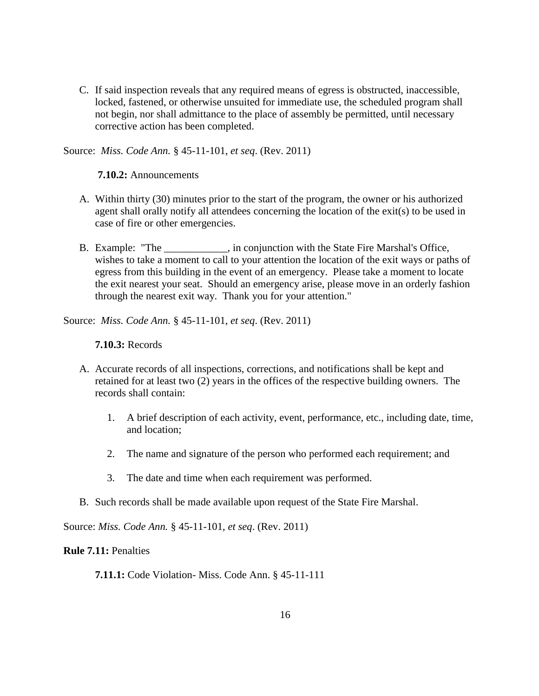C. If said inspection reveals that any required means of egress is obstructed, inaccessible, locked, fastened, or otherwise unsuited for immediate use, the scheduled program shall not begin, nor shall admittance to the place of assembly be permitted, until necessary corrective action has been completed.

Source: *Miss. Code Ann.* § 45-11-101, *et seq*. (Rev. 2011)

**7.10.2:** Announcements

- A. Within thirty (30) minutes prior to the start of the program, the owner or his authorized agent shall orally notify all attendees concerning the location of the exit(s) to be used in case of fire or other emergencies.
- B. Example: "The , in conjunction with the State Fire Marshal's Office, wishes to take a moment to call to your attention the location of the exit ways or paths of egress from this building in the event of an emergency. Please take a moment to locate the exit nearest your seat. Should an emergency arise, please move in an orderly fashion through the nearest exit way. Thank you for your attention."

Source: *Miss. Code Ann.* § 45-11-101, *et seq*. (Rev. 2011)

**7.10.3:** Records

- A. Accurate records of all inspections, corrections, and notifications shall be kept and retained for at least two (2) years in the offices of the respective building owners. The records shall contain:
	- 1. A brief description of each activity, event, performance, etc., including date, time, and location;
	- 2. The name and signature of the person who performed each requirement; and
	- 3. The date and time when each requirement was performed.
- B. Such records shall be made available upon request of the State Fire Marshal.

Source: *Miss. Code Ann.* § 45-11-101, *et seq*. (Rev. 2011)

**Rule 7.11:** Penalties

**7.11.1:** Code Violation- Miss. Code Ann. § 45-11-111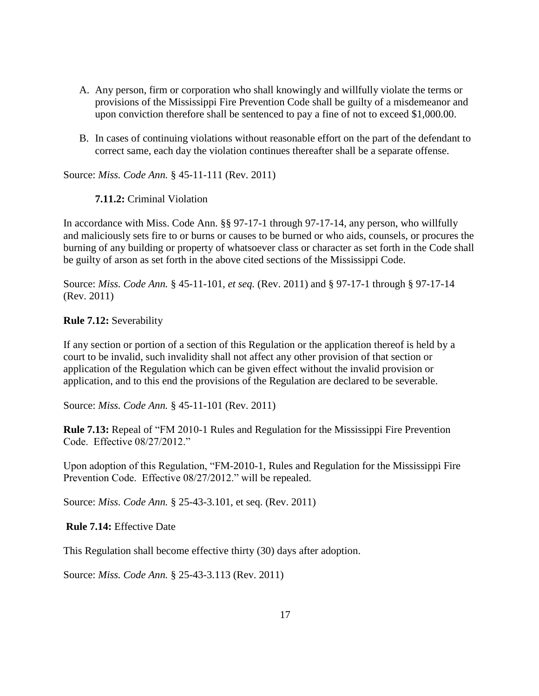- A. Any person, firm or corporation who shall knowingly and willfully violate the terms or provisions of the Mississippi Fire Prevention Code shall be guilty of a misdemeanor and upon conviction therefore shall be sentenced to pay a fine of not to exceed \$1,000.00.
- B. In cases of continuing violations without reasonable effort on the part of the defendant to correct same, each day the violation continues thereafter shall be a separate offense.

Source: *Miss. Code Ann.* § 45-11-111 (Rev. 2011)

**7.11.2:** Criminal Violation

In accordance with Miss. Code Ann. §§ 97-17-1 through 97-17-14, any person, who willfully and maliciously sets fire to or burns or causes to be burned or who aids, counsels, or procures the burning of any building or property of whatsoever class or character as set forth in the Code shall be guilty of arson as set forth in the above cited sections of the Mississippi Code.

Source: *Miss. Code Ann.* § 45-11-101*, et seq.* (Rev. 2011) and § 97-17-1 through § 97-17-14 (Rev. 2011)

**Rule 7.12:** Severability

If any section or portion of a section of this Regulation or the application thereof is held by a court to be invalid, such invalidity shall not affect any other provision of that section or application of the Regulation which can be given effect without the invalid provision or application, and to this end the provisions of the Regulation are declared to be severable.

Source: *Miss. Code Ann.* § 45-11-101 (Rev. 2011)

**Rule 7.13:** Repeal of "FM 2010-1 Rules and Regulation for the Mississippi Fire Prevention Code. Effective 08/27/2012."

Upon adoption of this Regulation, "FM-2010-1, Rules and Regulation for the Mississippi Fire Prevention Code. Effective 08/27/2012." will be repealed.

Source: *Miss. Code Ann.* § 25-43-3.101, et seq. (Rev. 2011)

**Rule 7.14:** Effective Date

This Regulation shall become effective thirty (30) days after adoption.

Source: *Miss. Code Ann.* § 25-43-3.113 (Rev. 2011)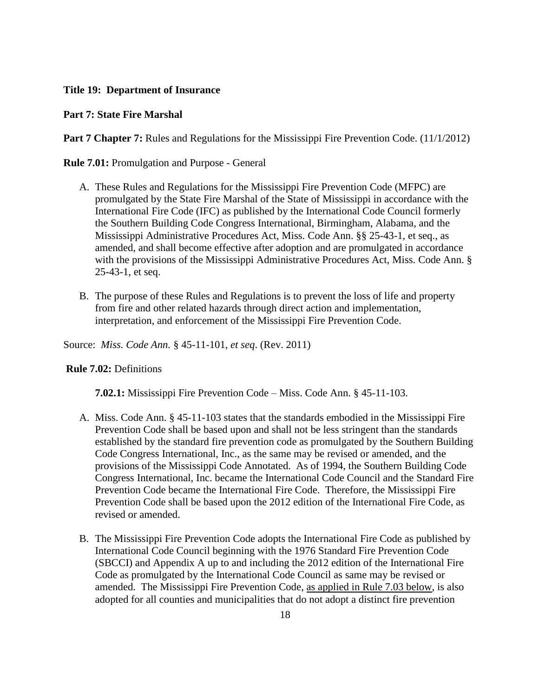### **Title 19: Department of Insurance**

#### **Part 7: State Fire Marshal**

**Part 7 Chapter 7:** Rules and Regulations for the Mississippi Fire Prevention Code. (11/1/2012)

**Rule 7.01:** Promulgation and Purpose - General

- A. These Rules and Regulations for the Mississippi Fire Prevention Code (MFPC) are promulgated by the State Fire Marshal of the State of Mississippi in accordance with the International Fire Code (IFC) as published by the International Code Council formerly the Southern Building Code Congress International, Birmingham, Alabama, and the Mississippi Administrative Procedures Act, Miss. Code Ann. §§ 25-43-1, et seq., as amended, and shall become effective after adoption and are promulgated in accordance with the provisions of the Mississippi Administrative Procedures Act, Miss. Code Ann. § 25-43-1, et seq.
- B. The purpose of these Rules and Regulations is to prevent the loss of life and property from fire and other related hazards through direct action and implementation, interpretation, and enforcement of the Mississippi Fire Prevention Code.

Source: *Miss. Code Ann.* § 45-11-101, *et seq*. (Rev. 2011)

#### **Rule 7.02:** Definitions

**7.02.1:** Mississippi Fire Prevention Code – Miss. Code Ann. § 45-11-103.

- A. Miss. Code Ann. § 45-11-103 states that the standards embodied in the Mississippi Fire Prevention Code shall be based upon and shall not be less stringent than the standards established by the standard fire prevention code as promulgated by the Southern Building Code Congress International, Inc., as the same may be revised or amended, and the provisions of the Mississippi Code Annotated. As of 1994, the Southern Building Code Congress International, Inc. became the International Code Council and the Standard Fire Prevention Code became the International Fire Code. Therefore, the Mississippi Fire Prevention Code shall be based upon the 2012 edition of the International Fire Code, as revised or amended.
- B. The Mississippi Fire Prevention Code adopts the International Fire Code as published by International Code Council beginning with the 1976 Standard Fire Prevention Code (SBCCI) and Appendix A up to and including the 2012 edition of the International Fire Code as promulgated by the International Code Council as same may be revised or amended. The Mississippi Fire Prevention Code, as applied in Rule 7.03 below, is also adopted for all counties and municipalities that do not adopt a distinct fire prevention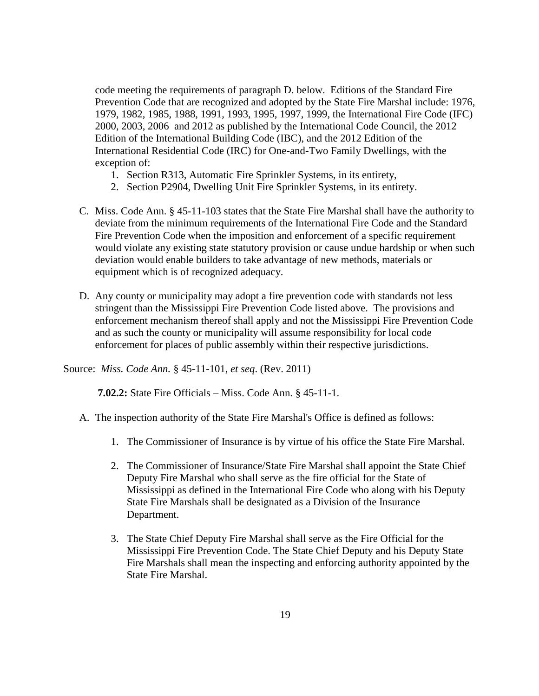code meeting the requirements of paragraph D. below. Editions of the Standard Fire Prevention Code that are recognized and adopted by the State Fire Marshal include: 1976, 1979, 1982, 1985, 1988, 1991, 1993, 1995, 1997, 1999, the International Fire Code (IFC) 2000, 2003, 2006 and 2012 as published by the International Code Council, the 2012 Edition of the International Building Code (IBC), and the 2012 Edition of the International Residential Code (IRC) for One-and-Two Family Dwellings, with the exception of:

- 1. Section R313, Automatic Fire Sprinkler Systems, in its entirety,
- 2. Section P2904, Dwelling Unit Fire Sprinkler Systems, in its entirety.
- C. Miss. Code Ann. § 45-11-103 states that the State Fire Marshal shall have the authority to deviate from the minimum requirements of the International Fire Code and the Standard Fire Prevention Code when the imposition and enforcement of a specific requirement would violate any existing state statutory provision or cause undue hardship or when such deviation would enable builders to take advantage of new methods, materials or equipment which is of recognized adequacy.
- D. Any county or municipality may adopt a fire prevention code with standards not less stringent than the Mississippi Fire Prevention Code listed above. The provisions and enforcement mechanism thereof shall apply and not the Mississippi Fire Prevention Code and as such the county or municipality will assume responsibility for local code enforcement for places of public assembly within their respective jurisdictions.

Source: *Miss. Code Ann.* § 45-11-101, *et seq*. (Rev. 2011)

**7.02.2:** State Fire Officials – Miss. Code Ann. § 45-11-1.

- A. The inspection authority of the State Fire Marshal's Office is defined as follows:
	- 1. The Commissioner of Insurance is by virtue of his office the State Fire Marshal.
	- 2. The Commissioner of Insurance/State Fire Marshal shall appoint the State Chief Deputy Fire Marshal who shall serve as the fire official for the State of Mississippi as defined in the International Fire Code who along with his Deputy State Fire Marshals shall be designated as a Division of the Insurance Department.
	- 3. The State Chief Deputy Fire Marshal shall serve as the Fire Official for the Mississippi Fire Prevention Code. The State Chief Deputy and his Deputy State Fire Marshals shall mean the inspecting and enforcing authority appointed by the State Fire Marshal.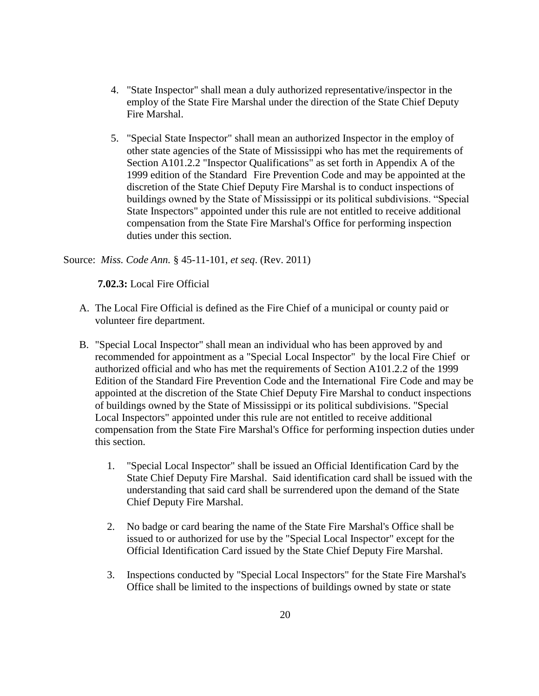- 4. "State Inspector" shall mean a duly authorized representative/inspector in the employ of the State Fire Marshal under the direction of the State Chief Deputy Fire Marshal.
- 5. "Special State Inspector" shall mean an authorized Inspector in the employ of other state agencies of the State of Mississippi who has met the requirements of Section A101.2.2 "Inspector Qualifications" as set forth in Appendix A of the 1999 edition of the Standard Fire Prevention Code and may be appointed at the discretion of the State Chief Deputy Fire Marshal is to conduct inspections of buildings owned by the State of Mississippi or its political subdivisions. "Special State Inspectors" appointed under this rule are not entitled to receive additional compensation from the State Fire Marshal's Office for performing inspection duties under this section.

Source: *Miss. Code Ann.* § 45-11-101, *et seq*. (Rev. 2011)

**7.02.3:** Local Fire Official

- A. The Local Fire Official is defined as the Fire Chief of a municipal or county paid or volunteer fire department.
- B. "Special Local Inspector" shall mean an individual who has been approved by and recommended for appointment as a "Special Local Inspector" by the local Fire Chief or authorized official and who has met the requirements of Section A101.2.2 of the 1999 Edition of the Standard Fire Prevention Code and the International Fire Code and may be appointed at the discretion of the State Chief Deputy Fire Marshal to conduct inspections of buildings owned by the State of Mississippi or its political subdivisions. "Special Local Inspectors" appointed under this rule are not entitled to receive additional compensation from the State Fire Marshal's Office for performing inspection duties under this section.
	- 1. "Special Local Inspector" shall be issued an Official Identification Card by the State Chief Deputy Fire Marshal. Said identification card shall be issued with the understanding that said card shall be surrendered upon the demand of the State Chief Deputy Fire Marshal.
	- 2. No badge or card bearing the name of the State Fire Marshal's Office shall be issued to or authorized for use by the "Special Local Inspector" except for the Official Identification Card issued by the State Chief Deputy Fire Marshal.
	- 3. Inspections conducted by "Special Local Inspectors" for the State Fire Marshal's Office shall be limited to the inspections of buildings owned by state or state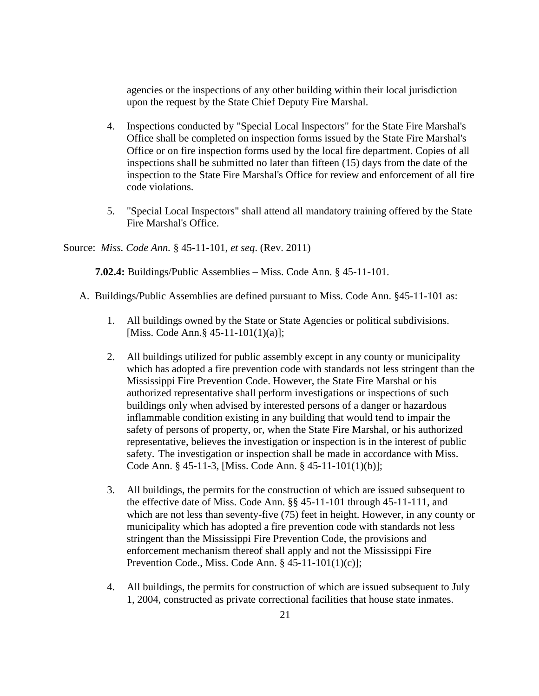agencies or the inspections of any other building within their local jurisdiction upon the request by the State Chief Deputy Fire Marshal.

- 4. Inspections conducted by "Special Local Inspectors" for the State Fire Marshal's Office shall be completed on inspection forms issued by the State Fire Marshal's Office or on fire inspection forms used by the local fire department. Copies of all inspections shall be submitted no later than fifteen (15) days from the date of the inspection to the State Fire Marshal's Office for review and enforcement of all fire code violations.
- 5. "Special Local Inspectors" shall attend all mandatory training offered by the State Fire Marshal's Office.

Source: *Miss. Code Ann.* § 45-11-101, *et seq*. (Rev. 2011)

**7.02.4:** Buildings/Public Assemblies – Miss. Code Ann. § 45-11-101.

- A. Buildings/Public Assemblies are defined pursuant to Miss. Code Ann. §45-11-101 as:
	- 1. All buildings owned by the State or State Agencies or political subdivisions. [Miss. Code Ann.§ 45-11-101(1)(a)];
	- 2. All buildings utilized for public assembly except in any county or municipality which has adopted a fire prevention code with standards not less stringent than the Mississippi Fire Prevention Code. However, the State Fire Marshal or his authorized representative shall perform investigations or inspections of such buildings only when advised by interested persons of a danger or hazardous inflammable condition existing in any building that would tend to impair the safety of persons of property, or, when the State Fire Marshal, or his authorized representative, believes the investigation or inspection is in the interest of public safety. The investigation or inspection shall be made in accordance with Miss. Code Ann. § 45-11-3, [Miss. Code Ann. § 45-11-101(1)(b)];
	- 3. All buildings, the permits for the construction of which are issued subsequent to the effective date of Miss. Code Ann. §§ 45-11-101 through 45-11-111, and which are not less than seventy-five (75) feet in height. However, in any county or municipality which has adopted a fire prevention code with standards not less stringent than the Mississippi Fire Prevention Code, the provisions and enforcement mechanism thereof shall apply and not the Mississippi Fire Prevention Code., Miss. Code Ann. § 45-11-101(1)(c)];
	- 4. All buildings, the permits for construction of which are issued subsequent to July 1, 2004, constructed as private correctional facilities that house state inmates.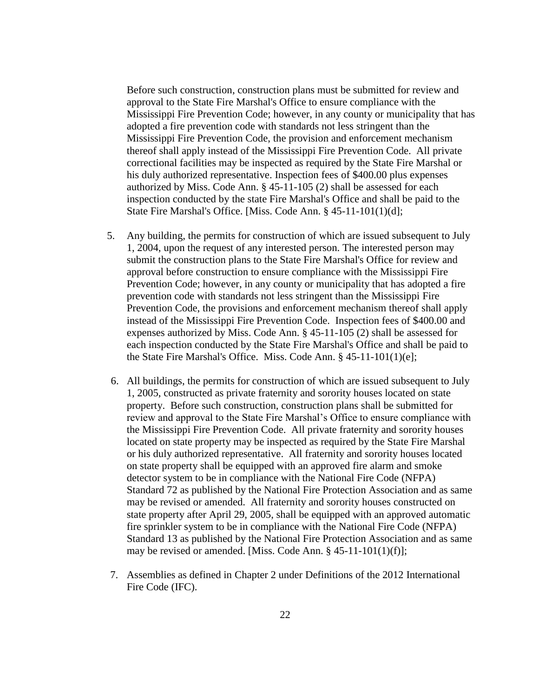Before such construction, construction plans must be submitted for review and approval to the State Fire Marshal's Office to ensure compliance with the Mississippi Fire Prevention Code; however, in any county or municipality that has adopted a fire prevention code with standards not less stringent than the Mississippi Fire Prevention Code, the provision and enforcement mechanism thereof shall apply instead of the Mississippi Fire Prevention Code. All private correctional facilities may be inspected as required by the State Fire Marshal or his duly authorized representative. Inspection fees of \$400.00 plus expenses authorized by Miss. Code Ann. § 45-11-105 (2) shall be assessed for each inspection conducted by the state Fire Marshal's Office and shall be paid to the State Fire Marshal's Office. [Miss. Code Ann. § 45-11-101(1)(d];

- 5. Any building, the permits for construction of which are issued subsequent to July 1, 2004, upon the request of any interested person. The interested person may submit the construction plans to the State Fire Marshal's Office for review and approval before construction to ensure compliance with the Mississippi Fire Prevention Code; however, in any county or municipality that has adopted a fire prevention code with standards not less stringent than the Mississippi Fire Prevention Code, the provisions and enforcement mechanism thereof shall apply instead of the Mississippi Fire Prevention Code. Inspection fees of \$400.00 and expenses authorized by Miss. Code Ann. § 45-11-105 (2) shall be assessed for each inspection conducted by the State Fire Marshal's Office and shall be paid to the State Fire Marshal's Office. Miss. Code Ann. § 45-11-101(1)(e];
- 6. All buildings, the permits for construction of which are issued subsequent to July 1, 2005, constructed as private fraternity and sorority houses located on state property. Before such construction, construction plans shall be submitted for review and approval to the State Fire Marshal's Office to ensure compliance with the Mississippi Fire Prevention Code. All private fraternity and sorority houses located on state property may be inspected as required by the State Fire Marshal or his duly authorized representative. All fraternity and sorority houses located on state property shall be equipped with an approved fire alarm and smoke detector system to be in compliance with the National Fire Code (NFPA) Standard 72 as published by the National Fire Protection Association and as same may be revised or amended. All fraternity and sorority houses constructed on state property after April 29, 2005, shall be equipped with an approved automatic fire sprinkler system to be in compliance with the National Fire Code (NFPA) Standard 13 as published by the National Fire Protection Association and as same may be revised or amended. [Miss. Code Ann. § 45-11-101(1)(f)];
- 7. Assemblies as defined in Chapter 2 under Definitions of the 2012 International Fire Code (IFC).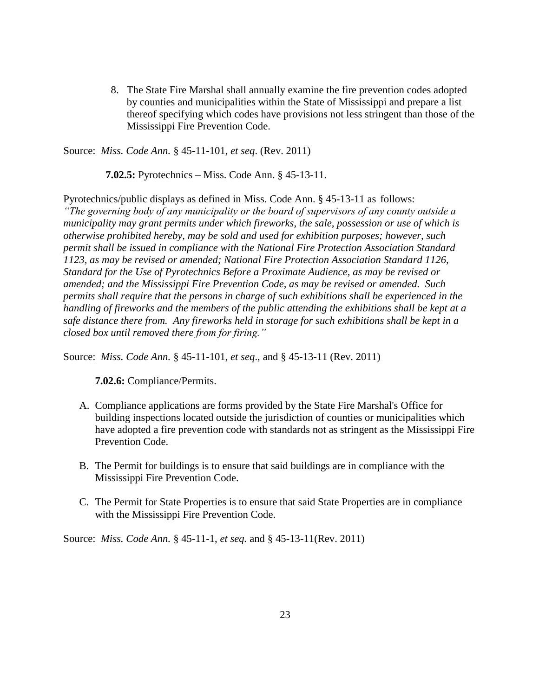8. The State Fire Marshal shall annually examine the fire prevention codes adopted by counties and municipalities within the State of Mississippi and prepare a list thereof specifying which codes have provisions not less stringent than those of the Mississippi Fire Prevention Code.

Source: *Miss. Code Ann.* § 45-11-101, *et seq*. (Rev. 2011)

 **7.02.5:** Pyrotechnics – Miss. Code Ann. § 45-13-11.

Pyrotechnics/public displays as defined in Miss. Code Ann. § 45-13-11 as follows: *"The governing body of any municipality or the board of supervisors of any county outside a municipality may grant permits under which fireworks, the sale, possession or use of which is otherwise prohibited hereby, may be sold and used for exhibition purposes; however, such permit shall be issued in compliance with the National Fire Protection Association Standard 1123, as may be revised or amended; National Fire Protection Association Standard 1126, Standard for the Use of Pyrotechnics Before a Proximate Audience, as may be revised or amended; and the Mississippi Fire Prevention Code, as may be revised or amended. Such permits shall require that the persons in charge of such exhibitions shall be experienced in the handling of fireworks and the members of the public attending the exhibitions shall be kept at a safe distance there from. Any fireworks held in storage for such exhibitions shall be kept in a closed box until removed there from for firing."*

Source: *Miss. Code Ann.* § 45-11-101, *et seq*., and § 45-13-11 (Rev. 2011)

**7.02.6:** Compliance/Permits.

- A. Compliance applications are forms provided by the State Fire Marshal's Office for building inspections located outside the jurisdiction of counties or municipalities which have adopted a fire prevention code with standards not as stringent as the Mississippi Fire Prevention Code.
- B. The Permit for buildings is to ensure that said buildings are in compliance with the Mississippi Fire Prevention Code.
- C. The Permit for State Properties is to ensure that said State Properties are in compliance with the Mississippi Fire Prevention Code.

Source: *Miss. Code Ann.* § 45-11-1, *et seq.* and § 45-13-11(Rev. 2011)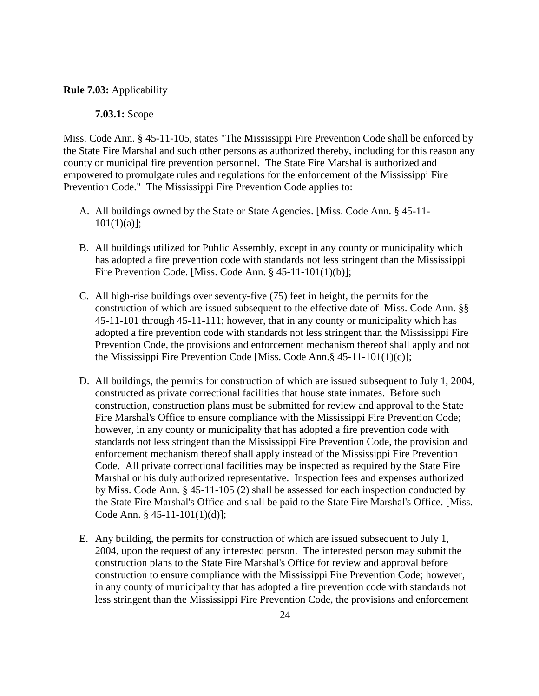#### **Rule 7.03:** Applicability

#### **7.03.1:** Scope

Miss. Code Ann. § 45-11-105, states "The Mississippi Fire Prevention Code shall be enforced by the State Fire Marshal and such other persons as authorized thereby, including for this reason any county or municipal fire prevention personnel. The State Fire Marshal is authorized and empowered to promulgate rules and regulations for the enforcement of the Mississippi Fire Prevention Code." The Mississippi Fire Prevention Code applies to:

- A. All buildings owned by the State or State Agencies. [Miss. Code Ann. § 45-11-  $101(1)(a)$ ;
- B. All buildings utilized for Public Assembly, except in any county or municipality which has adopted a fire prevention code with standards not less stringent than the Mississippi Fire Prevention Code. [Miss. Code Ann. § 45-11-101(1)(b)];
- C. All high-rise buildings over seventy-five (75) feet in height, the permits for the construction of which are issued subsequent to the effective date of Miss. Code Ann. §§ 45-11-101 through 45-11-111; however, that in any county or municipality which has adopted a fire prevention code with standards not less stringent than the Mississippi Fire Prevention Code, the provisions and enforcement mechanism thereof shall apply and not the Mississippi Fire Prevention Code [Miss. Code Ann.§ 45-11-101(1)(c)];
- D. All buildings, the permits for construction of which are issued subsequent to July 1, 2004, constructed as private correctional facilities that house state inmates. Before such construction, construction plans must be submitted for review and approval to the State Fire Marshal's Office to ensure compliance with the Mississippi Fire Prevention Code; however, in any county or municipality that has adopted a fire prevention code with standards not less stringent than the Mississippi Fire Prevention Code, the provision and enforcement mechanism thereof shall apply instead of the Mississippi Fire Prevention Code. All private correctional facilities may be inspected as required by the State Fire Marshal or his duly authorized representative. Inspection fees and expenses authorized by Miss. Code Ann. § 45-11-105 (2) shall be assessed for each inspection conducted by the State Fire Marshal's Office and shall be paid to the State Fire Marshal's Office. [Miss. Code Ann. § 45-11-101(1)(d)];
- E. Any building, the permits for construction of which are issued subsequent to July 1, 2004, upon the request of any interested person. The interested person may submit the construction plans to the State Fire Marshal's Office for review and approval before construction to ensure compliance with the Mississippi Fire Prevention Code; however, in any county of municipality that has adopted a fire prevention code with standards not less stringent than the Mississippi Fire Prevention Code, the provisions and enforcement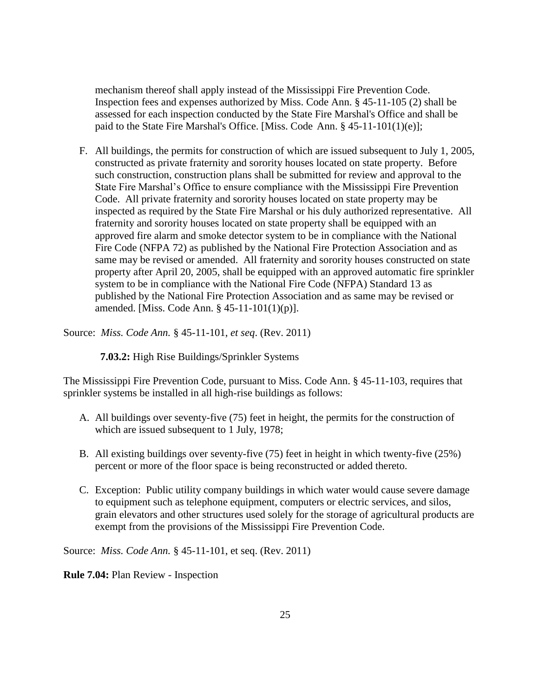mechanism thereof shall apply instead of the Mississippi Fire Prevention Code. Inspection fees and expenses authorized by Miss. Code Ann. § 45-11-105 (2) shall be assessed for each inspection conducted by the State Fire Marshal's Office and shall be paid to the State Fire Marshal's Office. [Miss. Code Ann. § 45-11-101(1)(e)];

F. All buildings, the permits for construction of which are issued subsequent to July 1, 2005, constructed as private fraternity and sorority houses located on state property. Before such construction, construction plans shall be submitted for review and approval to the State Fire Marshal's Office to ensure compliance with the Mississippi Fire Prevention Code. All private fraternity and sorority houses located on state property may be inspected as required by the State Fire Marshal or his duly authorized representative. All fraternity and sorority houses located on state property shall be equipped with an approved fire alarm and smoke detector system to be in compliance with the National Fire Code (NFPA 72) as published by the National Fire Protection Association and as same may be revised or amended. All fraternity and sorority houses constructed on state property after April 20, 2005, shall be equipped with an approved automatic fire sprinkler system to be in compliance with the National Fire Code (NFPA) Standard 13 as published by the National Fire Protection Association and as same may be revised or amended. [Miss. Code Ann. § 45-11-101(1)(p)].

Source: *Miss. Code Ann.* § 45-11-101, *et seq*. (Rev. 2011)

 **7.03.2:** High Rise Buildings/Sprinkler Systems

The Mississippi Fire Prevention Code, pursuant to Miss. Code Ann. § 45-11-103, requires that sprinkler systems be installed in all high-rise buildings as follows:

- A. All buildings over seventy-five (75) feet in height, the permits for the construction of which are issued subsequent to 1 July, 1978;
- B. All existing buildings over seventy-five (75) feet in height in which twenty-five (25%) percent or more of the floor space is being reconstructed or added thereto.
- C. Exception: Public utility company buildings in which water would cause severe damage to equipment such as telephone equipment, computers or electric services, and silos, grain elevators and other structures used solely for the storage of agricultural products are exempt from the provisions of the Mississippi Fire Prevention Code.

Source: *Miss. Code Ann.* § 45-11-101, et seq. (Rev. 2011)

**Rule 7.04:** Plan Review - Inspection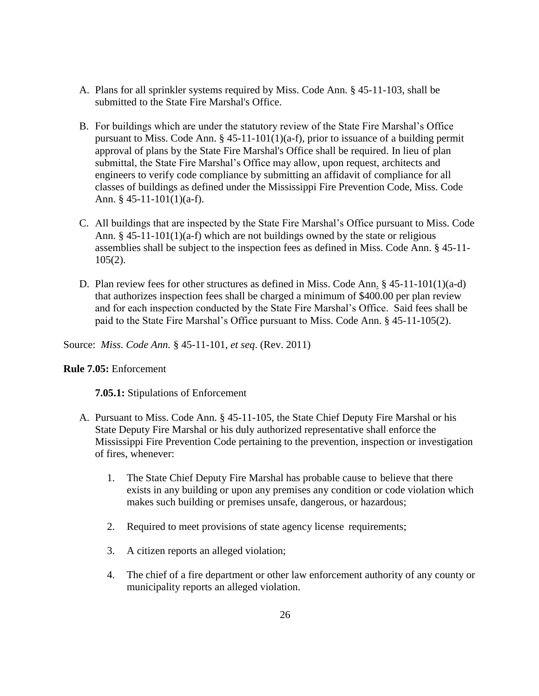- A. Plans for all sprinkler systems required by Miss. Code Ann. § 45-11-103, shall be submitted to the State Fire Marshal's Office.
- B. For buildings which are under the statutory review of the State Fire Marshal's Office pursuant to Miss. Code Ann. § 45-11-101(1)(a-f), prior to issuance of a building permit approval of plans by the State Fire Marshal's Office shall be required. In lieu of plan submittal, the State Fire Marshal's Office may allow, upon request, architects and engineers to verify code compliance by submitting an affidavit of compliance for all classes of buildings as defined under the Mississippi Fire Prevention Code, Miss. Code Ann. § 45-11-101(1)(a-f).
- C. All buildings that are inspected by the State Fire Marshal's Office pursuant to Miss. Code Ann. § 45-11-101(1)(a-f) which are not buildings owned by the state or religious assemblies shall be subject to the inspection fees as defined in Miss. Code Ann. § 45-11-  $105(2)$ .
- D. Plan review fees for other structures as defined in Miss. Code Ann. § 45-11-101(1)(a-d) that authorizes inspection fees shall be charged a minimum of \$400.00 per plan review and for each inspection conducted by the State Fire Marshal's Office. Said fees shall be paid to the State Fire Marshal's Office pursuant to Miss. Code Ann. § 45-11-105(2).

Source: *Miss. Code Ann.* § 45-11-101, *et seq*. (Rev. 2011)

## **Rule 7.05:** Enforcement

**7.05.1:** Stipulations of Enforcement

- A. Pursuant to Miss. Code Ann. § 45-11-105, the State Chief Deputy Fire Marshal or his State Deputy Fire Marshal or his duly authorized representative shall enforce the Mississippi Fire Prevention Code pertaining to the prevention, inspection or investigation of fires, whenever:
	- 1. The State Chief Deputy Fire Marshal has probable cause to believe that there exists in any building or upon any premises any condition or code violation which makes such building or premises unsafe, dangerous, or hazardous;
	- 2. Required to meet provisions of state agency license requirements;
	- 3. A citizen reports an alleged violation;
	- 4. The chief of a fire department or other law enforcement authority of any county or municipality reports an alleged violation.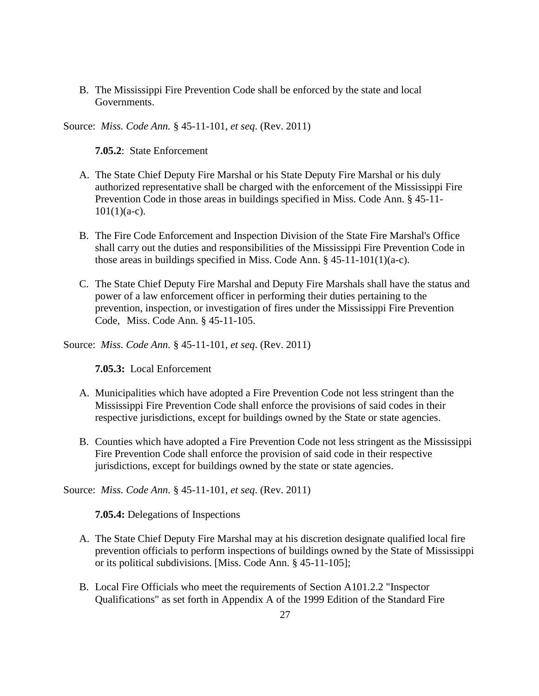B. The Mississippi Fire Prevention Code shall be enforced by the state and local Governments.

Source: *Miss. Code Ann.* § 45-11-101, *et seq*. (Rev. 2011)

**7.05.2**: State Enforcement

- A. The State Chief Deputy Fire Marshal or his State Deputy Fire Marshal or his duly authorized representative shall be charged with the enforcement of the Mississippi Fire Prevention Code in those areas in buildings specified in Miss. Code Ann. § 45-11-  $101(1)(a-c)$ .
- B. The Fire Code Enforcement and Inspection Division of the State Fire Marshal's Office shall carry out the duties and responsibilities of the Mississippi Fire Prevention Code in those areas in buildings specified in Miss. Code Ann. § 45-11-101(1)(a-c).
- C. The State Chief Deputy Fire Marshal and Deputy Fire Marshals shall have the status and power of a law enforcement officer in performing their duties pertaining to the prevention, inspection, or investigation of fires under the Mississippi Fire Prevention Code, Miss. Code Ann. § 45-11-105.

Source: *Miss. Code Ann.* § 45-11-101, *et seq*. (Rev. 2011)

**7.05.3:** Local Enforcement

- A. Municipalities which have adopted a Fire Prevention Code not less stringent than the Mississippi Fire Prevention Code shall enforce the provisions of said codes in their respective jurisdictions, except for buildings owned by the State or state agencies.
- B. Counties which have adopted a Fire Prevention Code not less stringent as the Mississippi Fire Prevention Code shall enforce the provision of said code in their respective jurisdictions, except for buildings owned by the state or state agencies.

Source: *Miss. Code Ann.* § 45-11-101, *et seq*. (Rev. 2011)

**7.05.4:** Delegations of Inspections

- A. The State Chief Deputy Fire Marshal may at his discretion designate qualified local fire prevention officials to perform inspections of buildings owned by the State of Mississippi or its political subdivisions. [Miss. Code Ann. § 45-11-105];
- B. Local Fire Officials who meet the requirements of Section A101.2.2 "Inspector Qualifications" as set forth in Appendix A of the 1999 Edition of the Standard Fire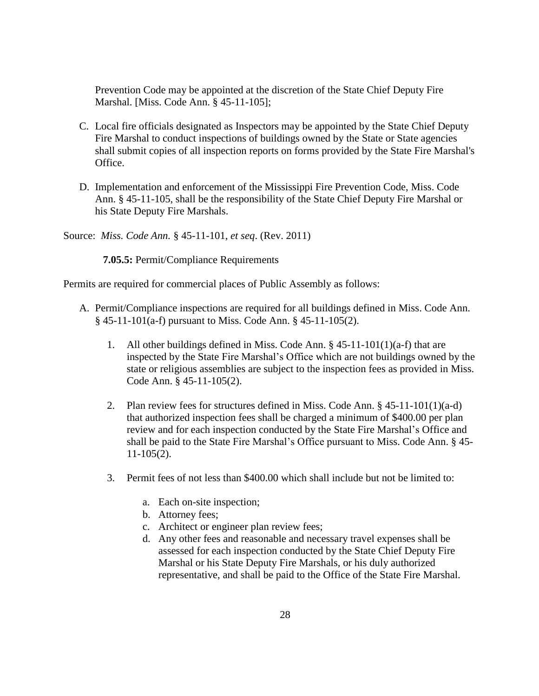Prevention Code may be appointed at the discretion of the State Chief Deputy Fire Marshal. [Miss. Code Ann. § 45-11-105];

- C. Local fire officials designated as Inspectors may be appointed by the State Chief Deputy Fire Marshal to conduct inspections of buildings owned by the State or State agencies shall submit copies of all inspection reports on forms provided by the State Fire Marshal's Office.
- D. Implementation and enforcement of the Mississippi Fire Prevention Code, Miss. Code Ann. § 45-11-105, shall be the responsibility of the State Chief Deputy Fire Marshal or his State Deputy Fire Marshals.

Source: *Miss. Code Ann.* § 45-11-101, *et seq*. (Rev. 2011)

 **7.05.5:** Permit/Compliance Requirements

Permits are required for commercial places of Public Assembly as follows:

- A. Permit/Compliance inspections are required for all buildings defined in Miss. Code Ann. § 45-11-101(a-f) pursuant to Miss. Code Ann. § 45-11-105(2).
	- 1. All other buildings defined in Miss. Code Ann.  $\S$  45-11-101(1)(a-f) that are inspected by the State Fire Marshal's Office which are not buildings owned by the state or religious assemblies are subject to the inspection fees as provided in Miss. Code Ann. § 45-11-105(2).
	- 2. Plan review fees for structures defined in Miss. Code Ann. § 45-11-101(1)(a-d) that authorized inspection fees shall be charged a minimum of \$400.00 per plan review and for each inspection conducted by the State Fire Marshal's Office and shall be paid to the State Fire Marshal's Office pursuant to Miss. Code Ann. § 45- 11-105(2).
	- 3. Permit fees of not less than \$400.00 which shall include but not be limited to:
		- a. Each on-site inspection;
		- b. Attorney fees;
		- c. Architect or engineer plan review fees;
		- d. Any other fees and reasonable and necessary travel expenses shall be assessed for each inspection conducted by the State Chief Deputy Fire Marshal or his State Deputy Fire Marshals, or his duly authorized representative, and shall be paid to the Office of the State Fire Marshal.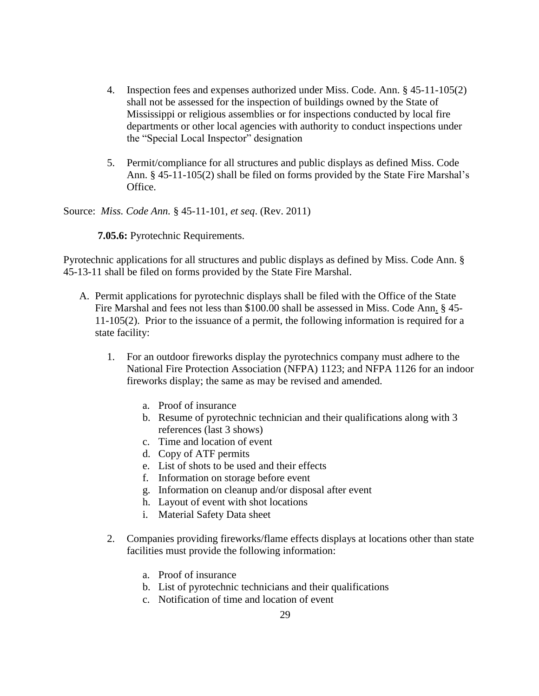- 4. Inspection fees and expenses authorized under Miss. Code. Ann. § 45-11-105(2) shall not be assessed for the inspection of buildings owned by the State of Mississippi or religious assemblies or for inspections conducted by local fire departments or other local agencies with authority to conduct inspections under the "Special Local Inspector" designation
- 5. Permit/compliance for all structures and public displays as defined Miss. Code Ann. § 45-11-105(2) shall be filed on forms provided by the State Fire Marshal's Office.

Source: *Miss. Code Ann.* § 45-11-101, *et seq*. (Rev. 2011)

**7.05.6:** Pyrotechnic Requirements.

Pyrotechnic applications for all structures and public displays as defined by Miss. Code Ann. § 45-13-11 shall be filed on forms provided by the State Fire Marshal.

- A. Permit applications for pyrotechnic displays shall be filed with the Office of the State Fire Marshal and fees not less than \$100.00 shall be assessed in Miss. Code Ann. § 45- 11-105(2). Prior to the issuance of a permit, the following information is required for a state facility:
	- 1. For an outdoor fireworks display the pyrotechnics company must adhere to the National Fire Protection Association (NFPA) 1123; and NFPA 1126 for an indoor fireworks display; the same as may be revised and amended.
		- a. Proof of insurance
		- b. Resume of pyrotechnic technician and their qualifications along with 3 references (last 3 shows)
		- c. Time and location of event
		- d. Copy of ATF permits
		- e. List of shots to be used and their effects
		- f. Information on storage before event
		- g. Information on cleanup and/or disposal after event
		- h. Layout of event with shot locations
		- i. Material Safety Data sheet
	- 2. Companies providing fireworks/flame effects displays at locations other than state facilities must provide the following information:
		- a. Proof of insurance
		- b. List of pyrotechnic technicians and their qualifications
		- c. Notification of time and location of event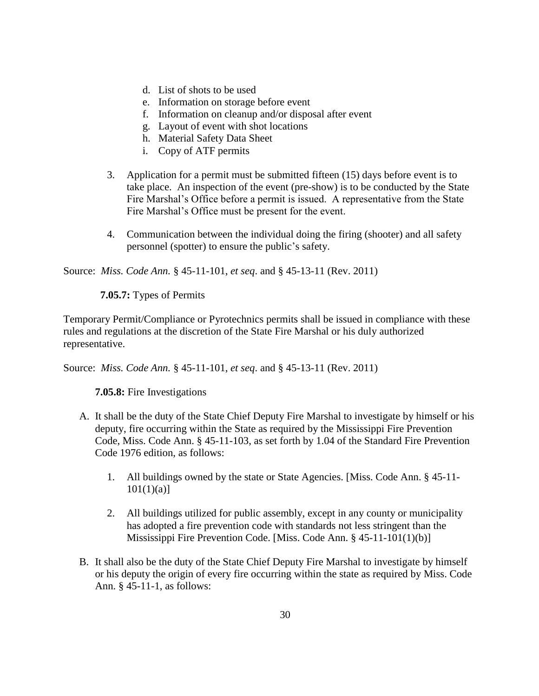- d. List of shots to be used
- e. Information on storage before event
- f. Information on cleanup and/or disposal after event
- g. Layout of event with shot locations
- h. Material Safety Data Sheet
- i. Copy of ATF permits
- 3. Application for a permit must be submitted fifteen (15) days before event is to take place. An inspection of the event (pre-show) is to be conducted by the State Fire Marshal's Office before a permit is issued. A representative from the State Fire Marshal's Office must be present for the event.
- 4. Communication between the individual doing the firing (shooter) and all safety personnel (spotter) to ensure the public's safety.

Source: *Miss. Code Ann.* § 45-11-101, *et seq*. and § 45-13-11 (Rev. 2011)

 **7.05.7:** Types of Permits

Temporary Permit/Compliance or Pyrotechnics permits shall be issued in compliance with these rules and regulations at the discretion of the State Fire Marshal or his duly authorized representative.

Source: *Miss. Code Ann.* § 45-11-101, *et seq*. and § 45-13-11 (Rev. 2011)

**7.05.8:** Fire Investigations

- A. It shall be the duty of the State Chief Deputy Fire Marshal to investigate by himself or his deputy, fire occurring within the State as required by the Mississippi Fire Prevention Code, Miss. Code Ann. § 45-11-103, as set forth by 1.04 of the Standard Fire Prevention Code 1976 edition, as follows:
	- 1. All buildings owned by the state or State Agencies. [Miss. Code Ann. § 45-11-  $101(1)(a)$ ]
	- 2. All buildings utilized for public assembly, except in any county or municipality has adopted a fire prevention code with standards not less stringent than the Mississippi Fire Prevention Code. [Miss. Code Ann. § 45-11-101(1)(b)]
- B. It shall also be the duty of the State Chief Deputy Fire Marshal to investigate by himself or his deputy the origin of every fire occurring within the state as required by Miss. Code Ann. § 45-11-1, as follows: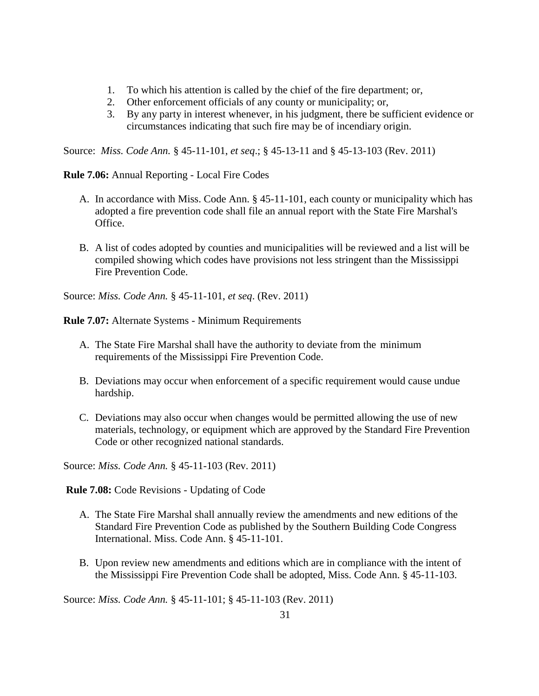- 1. To which his attention is called by the chief of the fire department; or,
- 2. Other enforcement officials of any county or municipality; or,
- 3. By any party in interest whenever, in his judgment, there be sufficient evidence or circumstances indicating that such fire may be of incendiary origin.

Source: *Miss. Code Ann.* § 45-11-101, *et seq*.; § 45-13-11 and § 45-13-103 (Rev. 2011)

**Rule 7.06:** Annual Reporting - Local Fire Codes

- A. In accordance with Miss. Code Ann. § 45-11-101, each county or municipality which has adopted a fire prevention code shall file an annual report with the State Fire Marshal's Office.
- B. A list of codes adopted by counties and municipalities will be reviewed and a list will be compiled showing which codes have provisions not less stringent than the Mississippi Fire Prevention Code.

Source: *Miss. Code Ann.* § 45-11-101, *et seq*. (Rev. 2011)

**Rule 7.07:** Alternate Systems - Minimum Requirements

- A. The State Fire Marshal shall have the authority to deviate from the minimum requirements of the Mississippi Fire Prevention Code.
- B. Deviations may occur when enforcement of a specific requirement would cause undue hardship.
- C. Deviations may also occur when changes would be permitted allowing the use of new materials, technology, or equipment which are approved by the Standard Fire Prevention Code or other recognized national standards.

Source: *Miss. Code Ann.* § 45-11-103 (Rev. 2011)

**Rule 7.08:** Code Revisions - Updating of Code

- A. The State Fire Marshal shall annually review the amendments and new editions of the Standard Fire Prevention Code as published by the Southern Building Code Congress International. Miss. Code Ann. § 45-11-101.
- B. Upon review new amendments and editions which are in compliance with the intent of the Mississippi Fire Prevention Code shall be adopted, Miss. Code Ann. § 45-11-103.

Source: *Miss. Code Ann.* § 45-11-101; § 45-11-103 (Rev. 2011)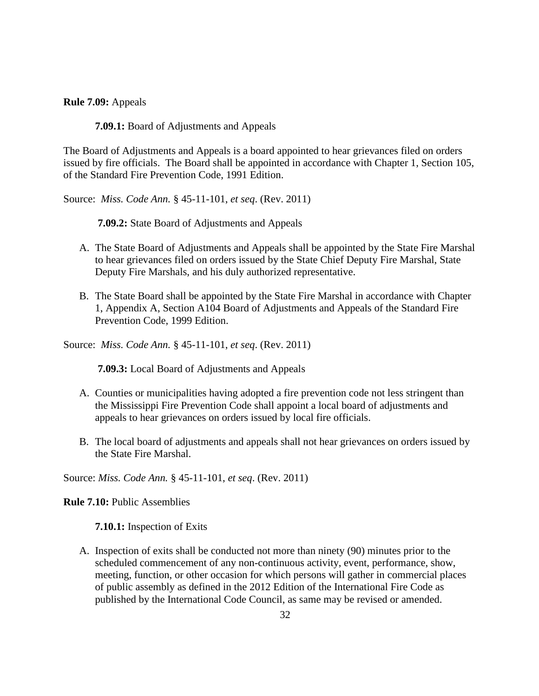**Rule 7.09:** Appeals

**7.09.1:** Board of Adjustments and Appeals

The Board of Adjustments and Appeals is a board appointed to hear grievances filed on orders issued by fire officials. The Board shall be appointed in accordance with Chapter 1, Section 105, of the Standard Fire Prevention Code, 1991 Edition.

Source: *Miss. Code Ann.* § 45-11-101, *et seq*. (Rev. 2011)

**7.09.2:** State Board of Adjustments and Appeals

- A. The State Board of Adjustments and Appeals shall be appointed by the State Fire Marshal to hear grievances filed on orders issued by the State Chief Deputy Fire Marshal, State Deputy Fire Marshals, and his duly authorized representative.
- B. The State Board shall be appointed by the State Fire Marshal in accordance with Chapter 1, Appendix A, Section A104 Board of Adjustments and Appeals of the Standard Fire Prevention Code, 1999 Edition.

Source: *Miss. Code Ann.* § 45-11-101, *et seq*. (Rev. 2011)

**7.09.3:** Local Board of Adjustments and Appeals

- A. Counties or municipalities having adopted a fire prevention code not less stringent than the Mississippi Fire Prevention Code shall appoint a local board of adjustments and appeals to hear grievances on orders issued by local fire officials.
- B. The local board of adjustments and appeals shall not hear grievances on orders issued by the State Fire Marshal.

Source: *Miss. Code Ann.* § 45-11-101, *et seq*. (Rev. 2011)

**Rule 7.10:** Public Assemblies

**7.10.1:** Inspection of Exits

A. Inspection of exits shall be conducted not more than ninety (90) minutes prior to the scheduled commencement of any non-continuous activity, event, performance, show, meeting, function, or other occasion for which persons will gather in commercial places of public assembly as defined in the 2012 Edition of the International Fire Code as published by the International Code Council, as same may be revised or amended.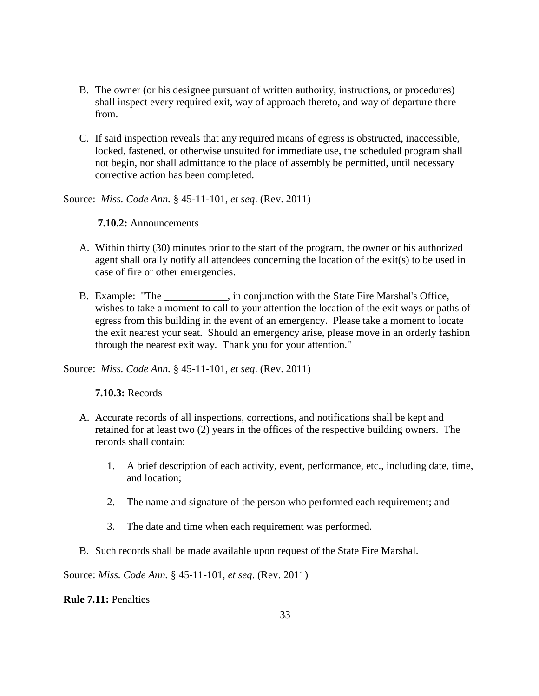- B. The owner (or his designee pursuant of written authority, instructions, or procedures) shall inspect every required exit, way of approach thereto, and way of departure there from.
- C. If said inspection reveals that any required means of egress is obstructed, inaccessible, locked, fastened, or otherwise unsuited for immediate use, the scheduled program shall not begin, nor shall admittance to the place of assembly be permitted, until necessary corrective action has been completed.

Source: *Miss. Code Ann.* § 45-11-101, *et seq*. (Rev. 2011)

# **7.10.2:** Announcements

- A. Within thirty (30) minutes prior to the start of the program, the owner or his authorized agent shall orally notify all attendees concerning the location of the exit(s) to be used in case of fire or other emergencies.
- B. Example: "The \_\_\_\_\_\_\_\_\_\_\_\_, in conjunction with the State Fire Marshal's Office, wishes to take a moment to call to your attention the location of the exit ways or paths of egress from this building in the event of an emergency. Please take a moment to locate the exit nearest your seat. Should an emergency arise, please move in an orderly fashion through the nearest exit way. Thank you for your attention."

Source: *Miss. Code Ann.* § 45-11-101, *et seq*. (Rev. 2011)

# **7.10.3:** Records

- A. Accurate records of all inspections, corrections, and notifications shall be kept and retained for at least two (2) years in the offices of the respective building owners. The records shall contain:
	- 1. A brief description of each activity, event, performance, etc., including date, time, and location;
	- 2. The name and signature of the person who performed each requirement; and
	- 3. The date and time when each requirement was performed.
- B. Such records shall be made available upon request of the State Fire Marshal.

Source: *Miss. Code Ann.* § 45-11-101, *et seq*. (Rev. 2011)

**Rule 7.11:** Penalties